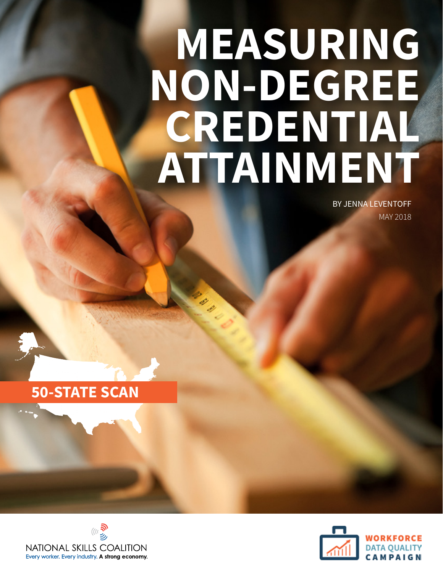# **MEASURING NON-DEGREE CREDENTIAL ATTAINMENT**

BY JENNA LEVENTOFF MAY 2018





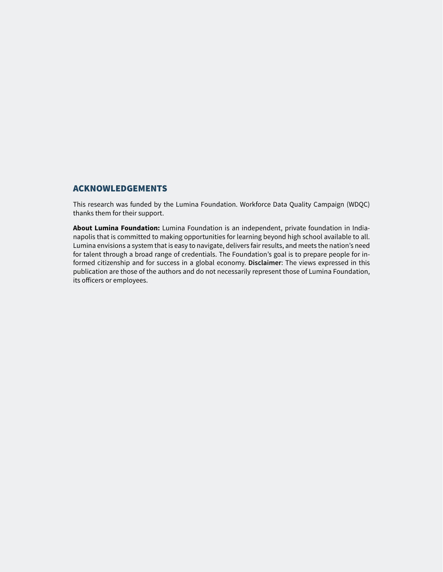#### ACKNOWLEDGEMENTS

This research was funded by the Lumina Foundation. Workforce Data Quality Campaign (WDQC) thanks them for their support.

**About Lumina Foundation:** Lumina Foundation is an independent, private foundation in Indianapolis that is committed to making opportunities for learning beyond high school available to all. Lumina envisions a system that is easy to navigate, delivers fair results, and meets the nation's need for talent through a broad range of credentials. The Foundation's goal is to prepare people for informed citizenship and for success in a global economy. **Disclaimer**: The views expressed in this publication are those of the authors and do not necessarily represent those of Lumina Foundation, its officers or employees.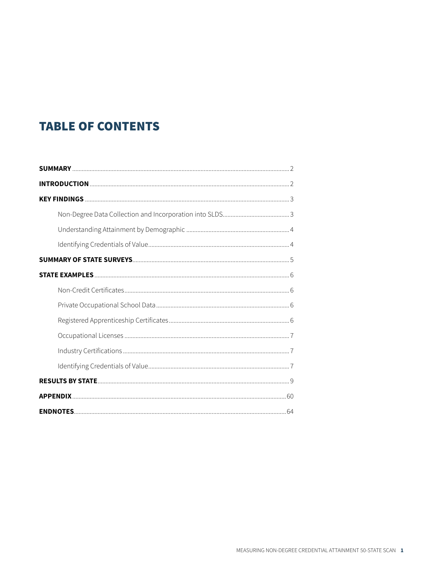#### **TABLE OF CONTENTS**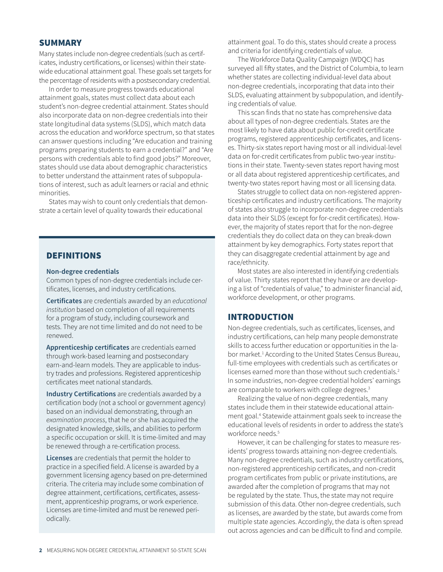#### SUMMARY

Many states include non-degree credentials (such as certificates, industry certifications, or licenses) within their statewide educational attainment goal. These goals set targets for the percentage of residents with a postsecondary credential.

In order to measure progress towards educational attainment goals, states must collect data about each student's non-degree credential attainment. States should also incorporate data on non-degree credentials into their state longitudinal data systems (SLDS), which match data across the education and workforce spectrum, so that states can answer questions including "Are education and training programs preparing students to earn a credential?" and "Are persons with credentials able to find good jobs?" Moreover, states should use data about demographic characteristics to better understand the attainment rates of subpopulations of interest, such as adult learners or racial and ethnic minorities.

States may wish to count only credentials that demonstrate a certain level of quality towards their educational

#### DEFINITIONS

#### **Non-degree credentials**

Common types of non-degree credentials include certificates, licenses, and industry certifications.

**Certificates** are credentials awarded by an *educational institution* based on completion of all requirements for a program of study, including coursework and tests. They are not time limited and do not need to be renewed.

**Apprenticeship certificates** are credentials earned through work-based learning and postsecondary earn-and-learn models. They are applicable to industry trades and professions. Registered apprenticeship certificates meet national standards.

**Industry Certifications** are credentials awarded by a certification body (not a school or government agency) based on an individual demonstrating, through an *examination process*, that he or she has acquired the designated knowledge, skills, and abilities to perform a specific occupation or skill. It is time-limited and may be renewed through a re-certification process.

**Licenses** are credentials that permit the holder to practice in a specified field. A license is awarded by a government licensing agency based on pre-determined criteria. The criteria may include some combination of degree attainment, certifications, certificates, assessment, apprenticeship programs, or work experience. Licenses are time-limited and must be renewed periodically.

attainment goal. To do this, states should create a process and criteria for identifying credentials of value.

The Workforce Data Quality Campaign (WDQC) has surveyed all fifty states, and the District of Columbia, to learn whether states are collecting individual-level data about non-degree credentials, incorporating that data into their SLDS, evaluating attainment by subpopulation, and identifying credentials of value.

This scan finds that no state has comprehensive data about all types of non-degree credentials. States are the most likely to have data about public for-credit certificate programs, registered apprenticeship certificates, and licenses. Thirty-six states report having most or all individual-level data on for-credit certificates from public two-year institutions in their state. Twenty-seven states report having most or all data about registered apprenticeship certificates, and twenty-two states report having most or all licensing data.

States struggle to collect data on non-registered apprenticeship certificates and industry certifications. The majority of states also struggle to incorporate non-degree credentials data into their SLDS (except for for-credit certificates). However, the majority of states report that for the non-degree credentials they do collect data on they can break-down attainment by key demographics. Forty states report that they can disaggregate credential attainment by age and race/ethnicity.

Most states are also interested in identifying credentials of value. Thirty states report that they have or are developing a list of "credentials of value," to administer financial aid, workforce development, or other programs.

#### INTRODUCTION

Non-degree credentials, such as certificates, licenses, and industry certifications, can help many people demonstrate skills to access further education or opportunities in the labor market.<sup>1</sup> According to the United States Census Bureau, full-time employees with credentials such as certificates or licenses earned more than those without such credentials.<sup>2</sup> In some industries, non-degree credential holders' earnings are comparable to workers with college degrees.<sup>3</sup>

Realizing the value of non-degree credentials, many states include them in their statewide educational attainment goal.4 Statewide attainment goals seek to increase the educational levels of residents in order to address the state's workforce needs.<sup>5</sup>

However, it can be challenging for states to measure residents' progress towards attaining non-degree credentials. Many non-degree credentials, such as industry certifications, non-registered apprenticeship certificates, and non-credit program certificates from public or private institutions, are awarded after the completion of programs that may not be regulated by the state. Thus, the state may not require submission of this data. Other non-degree credentials, such as licenses, are awarded by the state, but awards come from multiple state agencies. Accordingly, the data is often spread out across agencies and can be difficult to find and compile.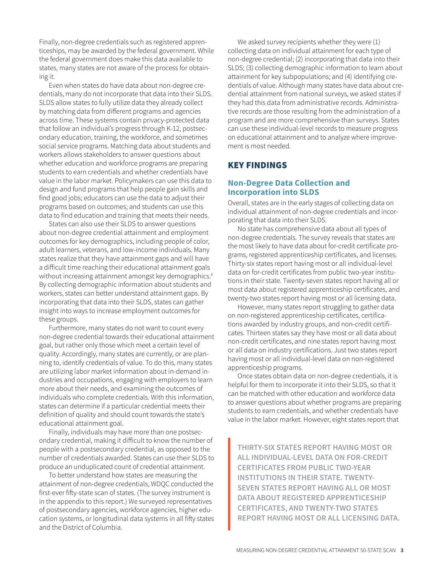Finally, non-degree credentials such as registered apprenticeships, may be awarded by the federal government. While the federal government does make this data available to states, many states are not aware of the process for obtaining it.

Even when states do have data about non-degree credentials, many do not incorporate that data into their SLDS. SLDS allow states to fully utilize data they already collect by matching data from different programs and agencies across time. These systems contain privacy-protected data that follow an individual's progress through K-12, postsecondary education, training, the workforce, and sometimes social service programs. Matching data about students and workers allows stakeholders to answer questions about whether education and workforce programs are preparing students to earn credentials and whether credentials have value in the labor market. Policymakers can use this data to design and fund programs that help people gain skills and find good jobs; educators can use the data to adjust their programs based on outcomes; and students can use this data to find education and training that meets their needs.

States can also use their SLDS to answer questions about non-degree credential attainment and employment outcomes for key demographics, including people of color, adult learners, veterans, and low-income individuals. Many states realize that they have attainment gaps and will have a difficult time reaching their educational attainment goals without increasing attainment amongst key demographics.<sup>6</sup> By collecting demographic information about students and workers, states can better understand attainment gaps. By incorporating that data into their SLDS, states can gather insight into ways to increase employment outcomes for these groups.

Furthermore, many states do not want to count every non-degree credential towards their educational attainment goal, but rather only those which meet a certain level of quality. Accordingly, many states are currently, or are planning to, identify credentials of value. To do this, many states are utilizing labor market information about in-demand industries and occupations, engaging with employers to learn more about their needs, and examining the outcomes of individuals who complete credentials. With this information, states can determine if a particular credential meets their definition of quality and should count towards the state's educational attainment goal.

Finally, individuals may have more than one postsecondary credential, making it difficult to know the number of people with a postsecondary credential, as opposed to the number of credentials awarded. States can use their SLDS to produce an unduplicated count of credential attainment.

To better understand how states are measuring the attainment of non-degree credentials, WDQC conducted the first-ever fifty-state scan of states. (The survey instrument is in the appendix to this report.) We surveyed representatives of postsecondary agencies, workforce agencies, higher education systems, or longitudinal data systems in all fifty states and the District of Columbia.

We asked survey recipients whether they were (1) collecting data on individual attainment for each type of non-degree credential; (2) incorporating that data into their SLDS; (3) collecting demographic information to learn about attainment for key subpopulations; and (4) identifying credentials of value. Although many states have data about credential attainment from national surveys, we asked states if they had this data from administrative records. Administrative records are those resulting from the administration of a program and are more comprehensive than surveys. States can use these individual-level records to measure progress on educational attainment and to analyze where improvement is most needed.

#### KEY FINDINGS

#### **Non-Degree Data Collection and Incorporation into SLDS**

Overall, states are in the early stages of collecting data on individual attainment of non-degree credentials and incorporating that data into their SLDS.

No state has comprehensive data about all types of non-degree credentials. The survey reveals that states are the most likely to have data about for-credit certificate programs, registered apprenticeship certificates, and licenses. Thirty-six states report having most or all individual-level data on for-credit certificates from public two-year institutions in their state. Twenty-seven states report having all or most data about registered apprenticeship certificates, and twenty-two states report having most or all licensing data.

However, many states report struggling to gather data on non-registered apprenticeship certificates, certifications awarded by industry groups, and non-credit certificates. Thirteen states say they have most or all data about non-credit certificates, and nine states report having most or all data on industry certifications. Just two states report having most or all individual-level data on non-registered apprenticeship programs.

Once states obtain data on non-degree credentials, it is helpful for them to incorporate it into their SLDS, so that it can be matched with other education and workforce data to answer questions about whether programs are preparing students to earn credentials, and whether credentials have value in the labor market. However, eight states report that

**THIRTY-SIX STATES REPORT HAVING MOST OR ALL INDIVIDUAL-LEVEL DATA ON FOR-CREDIT CERTIFICATES FROM PUBLIC TWO-YEAR INSTITUTIONS IN THEIR STATE. TWENTY-SEVEN STATES REPORT HAVING ALL OR MOST DATA ABOUT REGISTERED APPRENTICESHIP CERTIFICATES, AND TWENTY-TWO STATES REPORT HAVING MOST OR ALL LICENSING DATA.**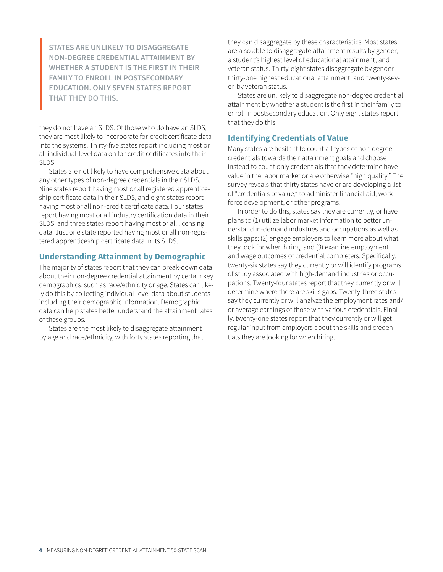**STATES ARE UNLIKELY TO DISAGGREGATE NON-DEGREE CREDENTIAL ATTAINMENT BY WHETHER A STUDENT IS THE FIRST IN THEIR FAMILY TO ENROLL IN POSTSECONDARY EDUCATION. ONLY SEVEN STATES REPORT THAT THEY DO THIS.**

they do not have an SLDS. Of those who do have an SLDS, they are most likely to incorporate for-credit certificate data into the systems. Thirty-five states report including most or all individual-level data on for-credit certificates into their SLDS.

States are not likely to have comprehensive data about any other types of non-degree credentials in their SLDS. Nine states report having most or all registered apprenticeship certificate data in their SLDS, and eight states report having most or all non-credit certificate data. Four states report having most or all industry certification data in their SLDS, and three states report having most or all licensing data. Just one state reported having most or all non-registered apprenticeship certificate data in its SLDS.

#### **Understanding Attainment by Demographic**

The majority of states report that they can break-down data about their non-degree credential attainment by certain key demographics, such as race/ethnicity or age. States can likely do this by collecting individual-level data about students including their demographic information. Demographic data can help states better understand the attainment rates of these groups.

States are the most likely to disaggregate attainment by age and race/ethnicity, with forty states reporting that they can disaggregate by these characteristics. Most states are also able to disaggregate attainment results by gender, a student's highest level of educational attainment, and veteran status. Thirty-eight states disaggregate by gender, thirty-one highest educational attainment, and twenty-seven by veteran status.

States are unlikely to disaggregate non-degree credential attainment by whether a student is the first in their family to enroll in postsecondary education. Only eight states report that they do this.

#### **Identifying Credentials of Value**

Many states are hesitant to count all types of non-degree credentials towards their attainment goals and choose instead to count only credentials that they determine have value in the labor market or are otherwise "high quality." The survey reveals that thirty states have or are developing a list of "credentials of value," to administer financial aid, workforce development, or other programs.

In order to do this, states say they are currently, or have plans to (1) utilize labor market information to better understand in-demand industries and occupations as well as skills gaps; (2) engage employers to learn more about what they look for when hiring; and (3) examine employment and wage outcomes of credential completers. Specifically, twenty-six states say they currently or will identify programs of study associated with high-demand industries or occupations. Twenty-four states report that they currently or will determine where there are skills gaps. Twenty-three states say they currently or will analyze the employment rates and/ or average earnings of those with various credentials. Finally, twenty-one states report that they currently or will get regular input from employers about the skills and credentials they are looking for when hiring.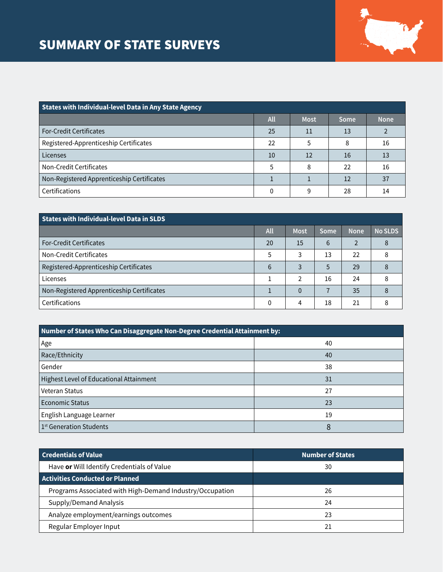#### SUMMARY OF STATE SURVEYS



| <b>States with Individual-level Data in Any State Agency</b> |     |             |      |             |
|--------------------------------------------------------------|-----|-------------|------|-------------|
|                                                              | All | <b>Most</b> | Some | <b>None</b> |
| <b>For-Credit Certificates</b>                               | 25  | 11          | 13   |             |
| Registered-Apprenticeship Certificates                       | 22  |             | 8    | 16          |
| Licenses                                                     | 10  | 12          | 16   | 13          |
| Non-Credit Certificates                                      | 5   | 8           | 22   | 16          |
| Non-Registered Apprenticeship Certificates                   |     |             | 12   | 37          |
| Certifications                                               | 0   | q           | 28   | 14          |

| States with Individual-level Data in SLDS  |          |              |      |             |                |
|--------------------------------------------|----------|--------------|------|-------------|----------------|
|                                            | All      | <b>Most</b>  | Some | <b>None</b> | <b>No SLDS</b> |
| <b>For-Credit Certificates</b>             | 20       | 15           | 6    | 2           | 8              |
| Non-Credit Certificates                    | 5        | 3            | 13   | 22          | 8              |
| Registered-Apprenticeship Certificates     | 6        | 3            | 5    | 29          |                |
| Licenses                                   |          | 2            | 16   | 24          | 8              |
| Non-Registered Apprenticeship Certificates |          | $\mathbf{0}$ |      | 35          | 8              |
| Certifications                             | $\Omega$ | 4            | 18   | 21          |                |

| Number of States Who Can Disaggregate Non-Degree Credential Attainment by: |    |  |
|----------------------------------------------------------------------------|----|--|
| Age                                                                        | 40 |  |
| Race/Ethnicity                                                             | 40 |  |
| Gender                                                                     | 38 |  |
| Highest Level of Educational Attainment                                    | 31 |  |
| Veteran Status                                                             | 27 |  |
| <b>Economic Status</b>                                                     | 23 |  |
| English Language Learner                                                   | 19 |  |
| 1 <sup>st</sup> Generation Students                                        | 8  |  |

| <b>Credentials of Value</b>                              | <b>Number of States</b> |
|----------------------------------------------------------|-------------------------|
| Have or Will Identify Credentials of Value               | 30                      |
| Activities Conducted or Planned                          |                         |
| Programs Associated with High-Demand Industry/Occupation | 26                      |
| Supply/Demand Analysis                                   | 24                      |
| Analyze employment/earnings outcomes                     | 23                      |
| Regular Employer Input                                   |                         |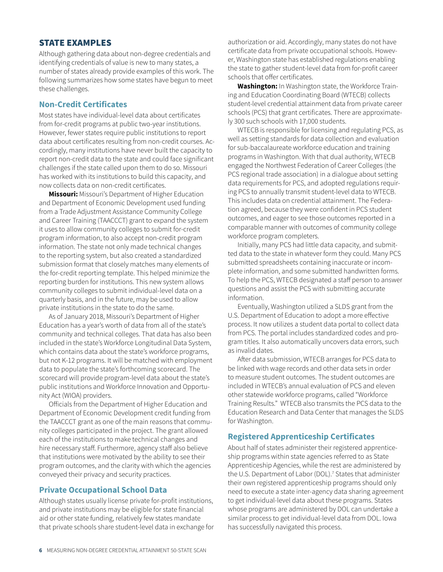#### STATE EXAMPLES

Although gathering data about non-degree credentials and identifying credentials of value is new to many states, a number of states already provide examples of this work. The following summarizes how some states have begun to meet these challenges.

#### **Non-Credit Certificates**

Most states have individual-level data about certificates from for-credit programs at public two-year institutions. However, fewer states require public institutions to report data about certificates resulting from non-credit courses. Accordingly, many institutions have never built the capacity to report non-credit data to the state and could face significant challenges if the state called upon them to do so. Missouri has worked with its institutions to build this capacity, and now collects data on non-credit certificates.

**Missouri:** Missouri's Department of Higher Education and Department of Economic Development used funding from a Trade Adjustment Assistance Community College and Career Training (TAACCCT) grant to expand the system it uses to allow community colleges to submit for-credit program information, to also accept non-credit program information. The state not only made technical changes to the reporting system, but also created a standardized submission format that closely matches many elements of the for-credit reporting template. This helped minimize the reporting burden for institutions. This new system allows community colleges to submit individual-level data on a quarterly basis, and in the future, may be used to allow private institutions in the state to do the same.

As of January 2018, Missouri's Department of Higher Education has a year's worth of data from all of the state's community and technical colleges. That data has also been included in the state's Workforce Longitudinal Data System, which contains data about the state's workforce programs, but not K-12 programs. It will be matched with employment data to populate the state's forthcoming scorecard. The scorecard will provide program-level data about the state's public institutions and Workforce Innovation and Opportunity Act (WIOA) providers.

Officials from the Department of Higher Education and Department of Economic Development credit funding from the TAACCCT grant as one of the main reasons that community colleges participated in the project. The grant allowed each of the institutions to make technical changes and hire necessary staff. Furthermore, agency staff also believe that institutions were motivated by the ability to see their program outcomes, and the clarity with which the agencies conveyed their privacy and security practices.

#### **Private Occupational School Data**

Although states usually license private for-profit institutions, and private institutions may be eligible for state financial aid or other state funding, relatively few states mandate that private schools share student-level data in exchange for authorization or aid. Accordingly, many states do not have certificate data from private occupational schools. However, Washington state has established regulations enabling the state to gather student-level data from for-profit career schools that offer certificates.

**Washington:** In Washington state, the Workforce Training and Education Coordinating Board (WTECB) collects student-level credential attainment data from private career schools (PCS) that grant certificates. There are approximately 300 such schools with 17,000 students.

WTECB is responsible for licensing and regulating PCS, as well as setting standards for data collection and evaluation for sub-baccalaureate workforce education and training programs in Washington. With that dual authority, WTECB engaged the Northwest Federation of Career Colleges (the PCS regional trade association) in a dialogue about setting data requirements for PCS, and adopted regulations requiring PCS to annually transmit student-level data to WTECB. This includes data on credential attainment. The Federation agreed, because they were confident in PCS student outcomes, and eager to see those outcomes reported in a comparable manner with outcomes of community college workforce program completers.

Initially, many PCS had little data capacity, and submitted data to the state in whatever form they could. Many PCS submitted spreadsheets containing inaccurate or incomplete information, and some submitted handwritten forms. To help the PCS, WTECB designated a staff person to answer questions and assist the PCS with submitting accurate information.

Eventually, Washington utilized a SLDS grant from the U.S. Department of Education to adopt a more effective process. It now utilizes a student data portal to collect data from PCS. The portal includes standardized codes and program titles. It also automatically uncovers data errors, such as invalid dates.

After data submission, WTECB arranges for PCS data to be linked with wage records and other data sets in order to measure student outcomes. The student outcomes are included in WTECB's annual evaluation of PCS and eleven other statewide workforce programs, called "Workforce Training Results." WTECB also transmits the PCS data to the Education Research and Data Center that manages the SLDS for Washington.

#### **Registered Apprenticeship Certificates**

About half of states administer their registered apprenticeship programs within state agencies referred to as State Apprenticeship Agencies, while the rest are administered by the U.S. Department of Labor (DOL).<sup>7</sup> States that administer their own registered apprenticeship programs should only need to execute a state inter-agency data sharing agreement to get individual-level data about these programs. States whose programs are administered by DOL can undertake a similar process to get individual-level data from DOL. Iowa has successfully navigated this process.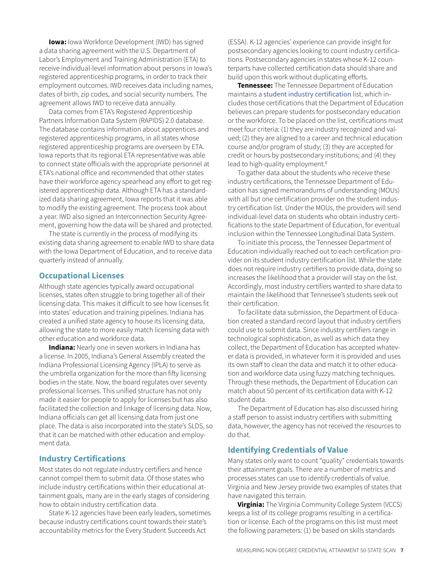**Iowa:** Iowa Workforce Development (IWD) has signed a data sharing agreement with the U.S. Department of Labor's Employment and Training Administration (ETA) to receive individual-level information about persons in Iowa's registered apprenticeship programs, in order to track their employment outcomes. IWD receives data including names, dates of birth, zip codes, and social security numbers. The agreement allows IWD to receive data annually.

Data comes from ETA's Registered Apprenticeship Partners Information Data System (RAPIDS) 2.0 database. The database contains information about apprentices and registered apprenticeship programs, in all states whose registered apprenticeship programs are overseen by ETA. Iowa reports that its regional ETA representative was able to connect state officials with the appropriate personnel at ETA's national office and recommended that other states have their workforce agency spearhead any effort to get registered apprenticeship data. Although ETA has a standardized data sharing agreement, Iowa reports that it was able to modify the existing agreement. The process took about a year. IWD also signed an Interconnection Security Agreement, governing how the data will be shared and protected.

The state is currently in the process of modifying its existing data sharing agreement to enable IWD to share data with the Iowa Department of Education, and to receive data quarterly instead of annually.

#### **Occupational Licenses**

Although state agencies typically award occupational licenses, states often struggle to bring together all of their licensing data. This makes it difficult to see how licenses fit into states' education and training pipelines. Indiana has created a unified state agency to house its licensing data, allowing the state to more easily match licensing data with other education and workforce data.

**Indiana:** Nearly one in seven workers in Indiana has a license. In 2005, Indiana's General Assembly created the Indiana Professional Licensing Agency (IPLA) to serve as the umbrella organization for the more than fifty licensing bodies in the state. Now, the board regulates over seventy professional licenses. This unified structure has not only made it easier for people to apply for licenses but has also facilitated the collection and linkage of licensing data. Now, Indiana officials can get all licensing data from just one place. The data is also incorporated into the state's SLDS, so that it can be matched with other education and employment data.

#### **Industry Certifications**

Most states do not regulate industry certifiers and hence cannot compel them to submit data. Of those states who include industry certifications within their educational attainment goals, many are in the early stages of considering how to obtain industry certification data.

State K-12 agencies have been early leaders, sometimes because industry certifications count towards their state's accountability metrics for the Every Student Succeeds Act

(ESSA). K-12 agencies' experience can provide insight for postsecondary agencies looking to count industry certifications. Postsecondary agencies in states whose K-12 counterparts have collected certification data should share and build upon this work without duplicating efforts.

**Tennessee:** The Tennessee Department of Education maintains a [student industry certification](https://www.tn.gov/education/early-postsecondary/student-industry-certification.html) list, which includes those certifications that the Department of Education believes can prepare students for postsecondary education or the workforce. To be placed on the list, certifications must meet four criteria: (1) they are industry recognized and valued; (2) they are aligned to a career and technical education course and/or program of study; (3) they are accepted for credit or hours by postsecondary institutions; and (4) they lead to high-quality employment.<sup>8</sup>

To gather data about the students who receive these industry certifications, the Tennessee Department of Education has signed memorandums of understanding (MOUs) with all but one certification provider on the [student indus](https://www.tn.gov/education/early-postsecondary/student-industry-certification.html)[try certification list](https://www.tn.gov/education/early-postsecondary/student-industry-certification.html). Under the MOUs, the providers will send individual-level data on students who obtain industry certifications to the state Department of Education, for eventual inclusion within the Tennessee Longitudinal Data System.

To initiate this process, the Tennessee Department of Education individually reached out to each certification provider on its student industry certification list. While the state does not require industry certifiers to provide data, doing so increases the likelihood that a provider will stay on the list. Accordingly, most industry certifiers wanted to share data to maintain the likelihood that Tennessee's students seek out their certification.

To facilitate data submission, the Department of Education created a standard record layout that industry certifiers could use to submit data. Since industry certifiers range in technological sophistication, as well as which data they collect, the Department of Education has accepted whatever data is provided, in whatever form it is provided and uses its own staff to clean the data and match it to other education and workforce data using fuzzy matching techniques. Through these methods, the Department of Education can match about 50 percent of its certification data with K-12 student data.

The Department of Education has also discussed hiring a staff person to assist industry certifiers with submitting data, however, the agency has not received the resources to do that.

#### **Identifying Credentials of Value**

Many states only want to count "quality" credentials towards their attainment goals. There are a number of metrics and processes states can use to identify credentials of value. Virginia and New Jersey provide two examples of states that have navigated this terrain.

**Virginia:** The Virginia Community College System (VCCS) keeps a list of its college programs resulting in a certification or license. Each of the programs on this list must meet the following parameters: (1) be based on skills standards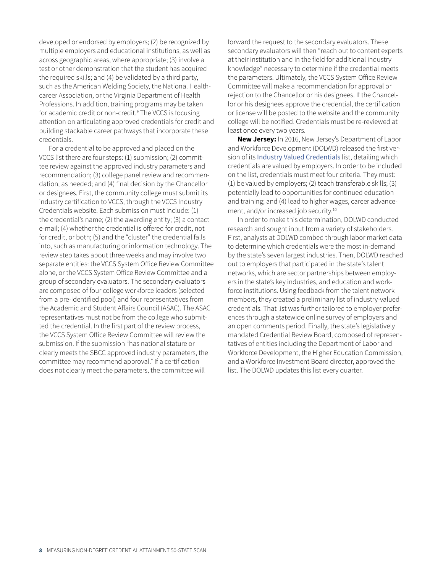developed or endorsed by employers; (2) be recognized by multiple employers and educational institutions, as well as across geographic areas, where appropriate; (3) involve a test or other demonstration that the student has acquired the required skills; and (4) be validated by a third party, such as the American Welding Society, the National Healthcareer Association, or the Virginia Department of Health Professions. In addition, training programs may be taken for academic credit or non-credit.<sup>9</sup> The VCCS is focusing attention on articulating approved credentials for credit and building stackable career pathways that incorporate these credentials.

For a credential to be approved and placed on the VCCS list there are four steps: (1) submission; (2) committee review against the approved industry parameters and recommendation; (3) college panel review and recommendation, as needed; and (4) final decision by the Chancellor or designees. First, the community college must submit its industry certification to VCCS, through the VCCS Industry Credentials website. Each submission must include: (1) the credential's name; (2) the awarding entity; (3) a contact e-mail; (4) whether the credential is offered for credit, not for credit, or both; (5) and the "cluster" the credential falls into, such as manufacturing or information technology. The review step takes about three weeks and may involve two separate entities: the VCCS System Office Review Committee alone, or the VCCS System Office Review Committee and a group of secondary evaluators. The secondary evaluators are composed of four college workforce leaders (selected from a pre-identified pool) and four representatives from the Academic and Student Affairs Council (ASAC). The ASAC representatives must not be from the college who submitted the credential. In the first part of the review process, the VCCS System Office Review Committee will review the submission. If the submission "has national stature or clearly meets the SBCC approved industry parameters, the committee may recommend approval." If a certification does not clearly meet the parameters, the committee will

forward the request to the secondary evaluators. These secondary evaluators will then "reach out to content experts at their institution and in the field for additional industry knowledge" necessary to determine if the credential meets the parameters. Ultimately, the VCCS System Office Review Committee will make a recommendation for approval or rejection to the Chancellor or his designees. If the Chancellor or his designees approve the credential, the certification or license will be posted to the website and the community college will be notified. Credentials must be re-reviewed at least once every two years.

**New Jersey:** In 2016, New Jersey's Department of Labor and Workforce Development (DOLWD) released the first version of its [Industry Valued Credentials](http://careerconnections.nj.gov/careerconnections/prepare/skills/credentials/industry_valued_credentials.shtml) list, detailing which credentials are valued by employers. In order to be included on the list, credentials must meet four criteria. They must: (1) be valued by employers; (2) teach transferable skills; (3) potentially lead to opportunities for continued education and training; and (4) lead to higher wages, career advancement, and/or increased job security.10

In order to make this determination, DOLWD conducted research and sought input from a variety of stakeholders. First, analysts at DOLWD combed through labor market data to determine which credentials were the most in-demand by the state's seven largest industries. Then, DOLWD reached out to employers that participated in the state's talent networks, which are sector partnerships between employers in the state's key industries, and education and workforce institutions. Using feedback from the talent network members, they created a preliminary list of industry-valued credentials. That list was further tailored to employer preferences through a statewide online survey of employers and an open comments period. Finally, the state's legislatively mandated Credential Review Board, composed of representatives of entities including the Department of Labor and Workforce Development, the Higher Education Commission, and a Workforce Investment Board director, approved the list. The DOLWD updates this list every quarter.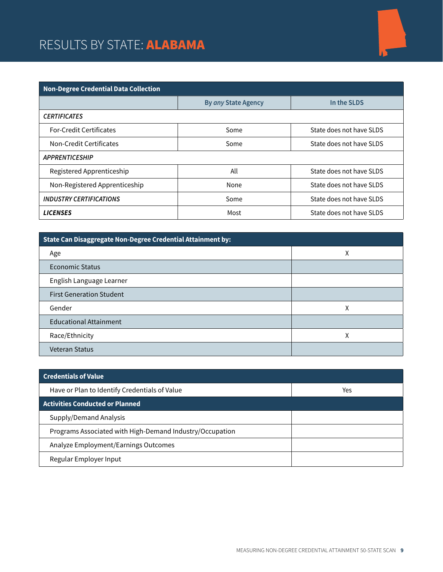# RESULTS BY STATE: ALABAMA



| <b>Non-Degree Credential Data Collection</b> |                     |                          |  |
|----------------------------------------------|---------------------|--------------------------|--|
|                                              | By any State Agency | In the SLDS              |  |
| <b>CERTIFICATES</b>                          |                     |                          |  |
| <b>For-Credit Certificates</b>               | Some                | State does not have SLDS |  |
| Non-Credit Certificates                      | Some                | State does not have SLDS |  |
| <b>APPRENTICESHIP</b>                        |                     |                          |  |
| Registered Apprenticeship                    | All                 | State does not have SLDS |  |
| Non-Registered Apprenticeship                | None                | State does not have SLDS |  |
| <b>INDUSTRY CERTIFICATIONS</b>               | Some                | State does not have SLDS |  |
| <b>LICENSES</b>                              | Most                | State does not have SLDS |  |

| State Can Disaggregate Non-Degree Credential Attainment by: |   |  |
|-------------------------------------------------------------|---|--|
| Age                                                         | χ |  |
| Economic Status                                             |   |  |
| English Language Learner                                    |   |  |
| <b>First Generation Student</b>                             |   |  |
| Gender                                                      | Χ |  |
| <b>Educational Attainment</b>                               |   |  |
| Race/Ethnicity                                              | χ |  |
| <b>Veteran Status</b>                                       |   |  |

| <b>Credentials of Value</b>                              |     |
|----------------------------------------------------------|-----|
| Have or Plan to Identify Credentials of Value            | Yes |
| <b>Activities Conducted or Planned</b>                   |     |
| Supply/Demand Analysis                                   |     |
| Programs Associated with High-Demand Industry/Occupation |     |
| Analyze Employment/Earnings Outcomes                     |     |
| Regular Employer Input                                   |     |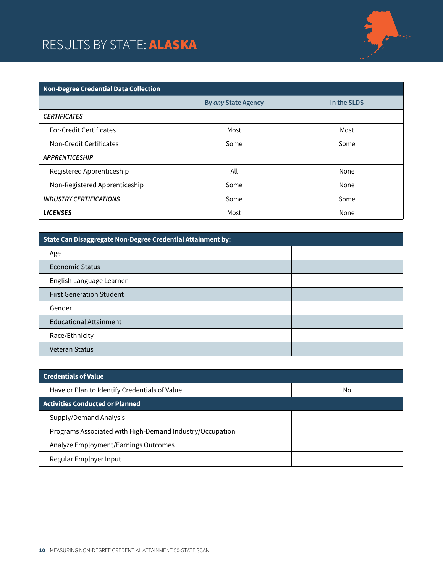# RESULTS BY STATE: ALASKA



| <b>Non-Degree Credential Data Collection</b> |                     |             |  |
|----------------------------------------------|---------------------|-------------|--|
|                                              | By any State Agency | In the SLDS |  |
| <b>CERTIFICATES</b>                          |                     |             |  |
| <b>For-Credit Certificates</b>               | Most                | Most        |  |
| Non-Credit Certificates                      | Some                | Some        |  |
| <b>APPRENTICESHIP</b>                        |                     |             |  |
| Registered Apprenticeship                    | All                 | None        |  |
| Non-Registered Apprenticeship                | Some                | None        |  |
| <b>INDUSTRY CERTIFICATIONS</b>               | Some                | Some        |  |
| <b>LICENSES</b>                              | Most                | None        |  |

| State Can Disaggregate Non-Degree Credential Attainment by: |  |  |
|-------------------------------------------------------------|--|--|
| Age                                                         |  |  |
| Economic Status                                             |  |  |
| English Language Learner                                    |  |  |
| <b>First Generation Student</b>                             |  |  |
| Gender                                                      |  |  |
| <b>Educational Attainment</b>                               |  |  |
| Race/Ethnicity                                              |  |  |
| <b>Veteran Status</b>                                       |  |  |

| <b>Credentials of Value</b>                              |    |
|----------------------------------------------------------|----|
| Have or Plan to Identify Credentials of Value            | No |
| <b>Activities Conducted or Planned</b>                   |    |
| Supply/Demand Analysis                                   |    |
| Programs Associated with High-Demand Industry/Occupation |    |
| Analyze Employment/Earnings Outcomes                     |    |
| Regular Employer Input                                   |    |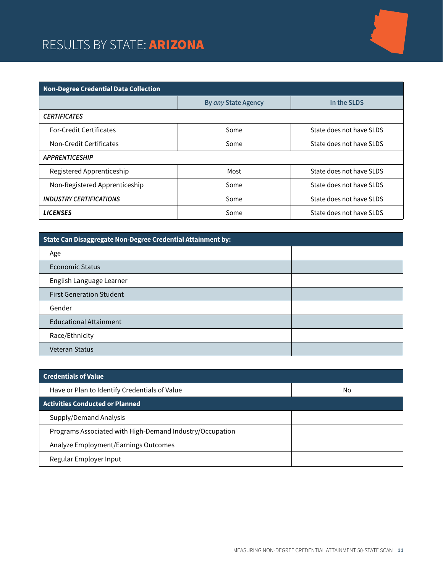### RESULTS BY STATE: ARIZONA

| <b>Non-Degree Credential Data Collection</b> |                     |                          |  |
|----------------------------------------------|---------------------|--------------------------|--|
|                                              | By any State Agency | In the SLDS              |  |
| <b>CERTIFICATES</b>                          |                     |                          |  |
| <b>For-Credit Certificates</b>               | Some                | State does not have SLDS |  |
| Non-Credit Certificates                      | Some                | State does not have SLDS |  |
| <b>APPRENTICESHIP</b>                        |                     |                          |  |
| Registered Apprenticeship                    | Most                | State does not have SLDS |  |
| Non-Registered Apprenticeship                | Some                | State does not have SLDS |  |
| <b>INDUSTRY CERTIFICATIONS</b>               | Some                | State does not have SLDS |  |
| <b>LICENSES</b>                              | Some                | State does not have SLDS |  |

| State Can Disaggregate Non-Degree Credential Attainment by: |  |
|-------------------------------------------------------------|--|
| Age                                                         |  |
| <b>Economic Status</b>                                      |  |
| English Language Learner                                    |  |
| <b>First Generation Student</b>                             |  |
| Gender                                                      |  |
| <b>Educational Attainment</b>                               |  |
| Race/Ethnicity                                              |  |
| Veteran Status                                              |  |

| <b>Credentials of Value</b>                              |    |
|----------------------------------------------------------|----|
| Have or Plan to Identify Credentials of Value            | No |
| <b>Activities Conducted or Planned</b>                   |    |
| Supply/Demand Analysis                                   |    |
| Programs Associated with High-Demand Industry/Occupation |    |
| Analyze Employment/Earnings Outcomes                     |    |
| Regular Employer Input                                   |    |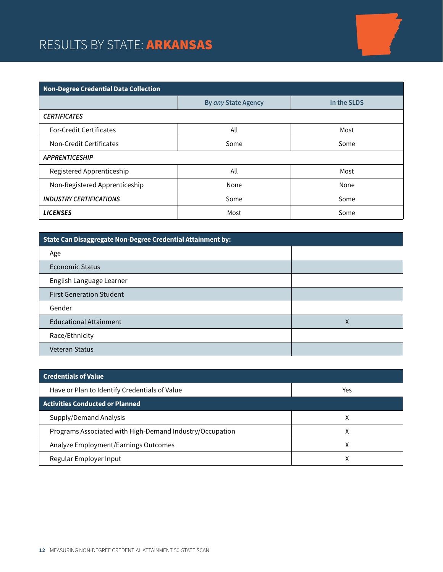# RESULTS BY STATE: ARKANSAS

| <b>Non-Degree Credential Data Collection</b> |                            |             |  |
|----------------------------------------------|----------------------------|-------------|--|
|                                              | <b>By any State Agency</b> | In the SLDS |  |
| <b>CERTIFICATES</b>                          |                            |             |  |
| <b>For-Credit Certificates</b>               | All                        | Most        |  |
| Non-Credit Certificates                      | Some                       | Some        |  |
| <b>APPRENTICESHIP</b>                        |                            |             |  |
| Registered Apprenticeship                    | All                        | Most        |  |
| Non-Registered Apprenticeship                | None                       | None        |  |
| <b>INDUSTRY CERTIFICATIONS</b>               | Some                       | Some        |  |
| <b>LICENSES</b>                              | Most                       | Some        |  |

| State Can Disaggregate Non-Degree Credential Attainment by: |   |  |
|-------------------------------------------------------------|---|--|
| Age                                                         |   |  |
| Economic Status                                             |   |  |
| English Language Learner                                    |   |  |
| <b>First Generation Student</b>                             |   |  |
| Gender                                                      |   |  |
| <b>Educational Attainment</b>                               | Χ |  |
| Race/Ethnicity                                              |   |  |
| <b>Veteran Status</b>                                       |   |  |

| <b>Credentials of Value</b>                              |     |
|----------------------------------------------------------|-----|
| Have or Plan to Identify Credentials of Value            | Yes |
| <b>Activities Conducted or Planned</b>                   |     |
| Supply/Demand Analysis                                   |     |
| Programs Associated with High-Demand Industry/Occupation |     |
| Analyze Employment/Earnings Outcomes                     |     |
| Regular Employer Input                                   |     |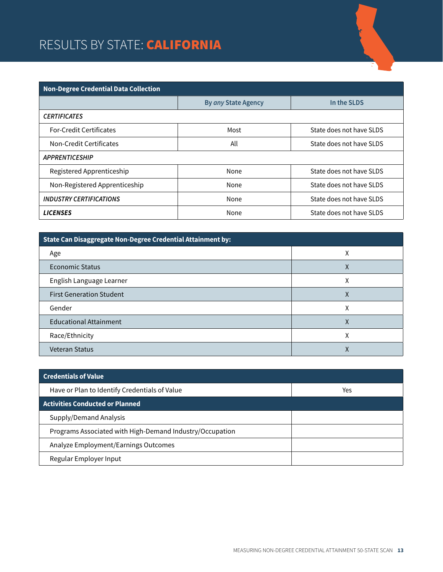### RESULTS BY STATE: CALIFORNIA

| Non-Degree Credential Data Collection |                     |                          |  |
|---------------------------------------|---------------------|--------------------------|--|
|                                       | By any State Agency | In the SLDS              |  |
| <b>CERTIFICATES</b>                   |                     |                          |  |
| <b>For-Credit Certificates</b>        | Most                | State does not have SLDS |  |
| Non-Credit Certificates               | All                 | State does not have SLDS |  |
| <b>APPRENTICESHIP</b>                 |                     |                          |  |
| Registered Apprenticeship             | None                | State does not have SLDS |  |
| Non-Registered Apprenticeship         | None                | State does not have SLDS |  |
| <b>INDUSTRY CERTIFICATIONS</b>        | None                | State does not have SLDS |  |
| <b>LICENSES</b>                       | None                | State does not have SLDS |  |

| State Can Disaggregate Non-Degree Credential Attainment by: |   |  |
|-------------------------------------------------------------|---|--|
| Age                                                         | χ |  |
| Economic Status                                             | ⋏ |  |
| English Language Learner                                    | χ |  |
| <b>First Generation Student</b>                             | Χ |  |
| Gender                                                      | χ |  |
| <b>Educational Attainment</b>                               | χ |  |
| Race/Ethnicity                                              | л |  |
| <b>Veteran Status</b>                                       |   |  |

| <b>Credentials of Value</b>                              |     |
|----------------------------------------------------------|-----|
| Have or Plan to Identify Credentials of Value            | Yes |
| <b>Activities Conducted or Planned</b>                   |     |
| Supply/Demand Analysis                                   |     |
| Programs Associated with High-Demand Industry/Occupation |     |
| Analyze Employment/Earnings Outcomes                     |     |
| Regular Employer Input                                   |     |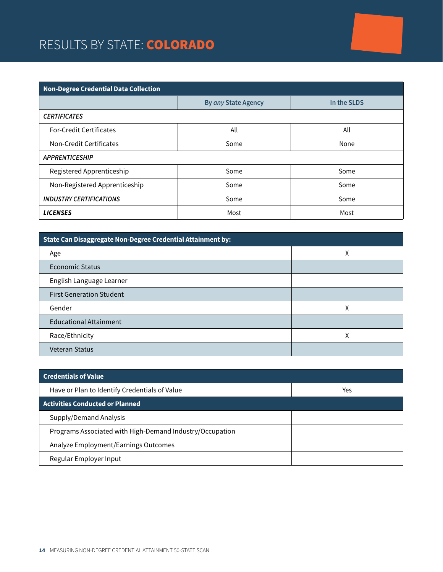### RESULTS BY STATE: COLORADO

| <b>Non-Degree Credential Data Collection</b> |                     |             |  |
|----------------------------------------------|---------------------|-------------|--|
|                                              | By any State Agency | In the SLDS |  |
| <b>CERTIFICATES</b>                          |                     |             |  |
| <b>For-Credit Certificates</b>               | All                 | All         |  |
| Non-Credit Certificates                      | Some                | None        |  |
| <b>APPRENTICESHIP</b>                        |                     |             |  |
| Registered Apprenticeship                    | Some                | Some        |  |
| Non-Registered Apprenticeship                | Some                | Some        |  |
| <b>INDUSTRY CERTIFICATIONS</b>               | Some                | Some        |  |
| <b>LICENSES</b>                              | Most                | Most        |  |

| State Can Disaggregate Non-Degree Credential Attainment by: |   |  |
|-------------------------------------------------------------|---|--|
| Age                                                         | Χ |  |
| Economic Status                                             |   |  |
| English Language Learner                                    |   |  |
| <b>First Generation Student</b>                             |   |  |
| Gender                                                      | χ |  |
| <b>Educational Attainment</b>                               |   |  |
| Race/Ethnicity                                              | Χ |  |
| <b>Veteran Status</b>                                       |   |  |

| <b>Credentials of Value</b>                              |     |
|----------------------------------------------------------|-----|
| Have or Plan to Identify Credentials of Value            | Yes |
| <b>Activities Conducted or Planned</b>                   |     |
| Supply/Demand Analysis                                   |     |
| Programs Associated with High-Demand Industry/Occupation |     |
| Analyze Employment/Earnings Outcomes                     |     |
| Regular Employer Input                                   |     |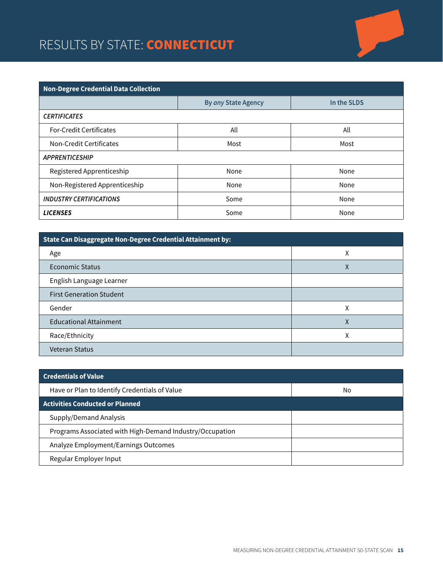### RESULTS BY STATE: **CONNECTICUT**

| <b>Non-Degree Credential Data Collection</b> |                     |             |  |
|----------------------------------------------|---------------------|-------------|--|
|                                              | By any State Agency | In the SLDS |  |
| <b>CERTIFICATES</b>                          |                     |             |  |
| <b>For-Credit Certificates</b>               | All                 | All         |  |
| Non-Credit Certificates                      | Most                | Most        |  |
| <b>APPRENTICESHIP</b>                        |                     |             |  |
| Registered Apprenticeship                    | None                | None        |  |
| Non-Registered Apprenticeship                | None                | None        |  |
| <b>INDUSTRY CERTIFICATIONS</b>               | Some                | None        |  |
| <b>LICENSES</b>                              | Some                | None        |  |

| State Can Disaggregate Non-Degree Credential Attainment by: |   |  |
|-------------------------------------------------------------|---|--|
| Age                                                         | Χ |  |
| <b>Economic Status</b>                                      | Χ |  |
| English Language Learner                                    |   |  |
| <b>First Generation Student</b>                             |   |  |
| Gender                                                      | χ |  |
| <b>Educational Attainment</b>                               | Χ |  |
| Race/Ethnicity                                              | χ |  |
| <b>Veteran Status</b>                                       |   |  |

| <b>Credentials of Value</b>                              |    |
|----------------------------------------------------------|----|
| Have or Plan to Identify Credentials of Value            | No |
| <b>Activities Conducted or Planned</b>                   |    |
| Supply/Demand Analysis                                   |    |
| Programs Associated with High-Demand Industry/Occupation |    |
| Analyze Employment/Earnings Outcomes                     |    |
| Regular Employer Input                                   |    |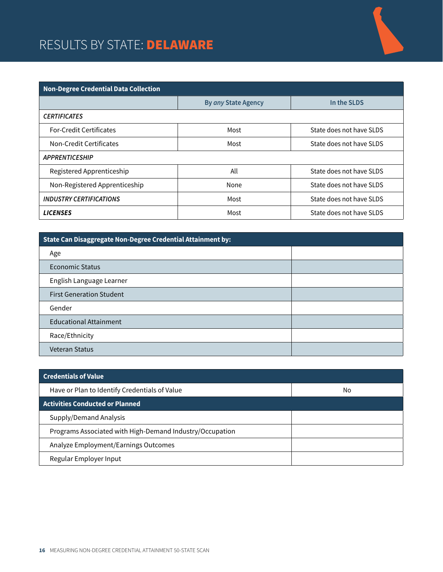# RESULTS BY STATE: DELAWARE



| <b>Non-Degree Credential Data Collection</b> |                     |                          |  |
|----------------------------------------------|---------------------|--------------------------|--|
|                                              | By any State Agency | In the SLDS              |  |
| <b>CERTIFICATES</b>                          |                     |                          |  |
| <b>For-Credit Certificates</b>               | Most                | State does not have SLDS |  |
| Non-Credit Certificates                      | Most                | State does not have SLDS |  |
| <b>APPRENTICESHIP</b>                        |                     |                          |  |
| Registered Apprenticeship                    | All                 | State does not have SLDS |  |
| Non-Registered Apprenticeship                | None                | State does not have SLDS |  |
| <b>INDUSTRY CERTIFICATIONS</b>               | Most                | State does not have SLDS |  |
| <b>LICENSES</b>                              | Most                | State does not have SLDS |  |

| State Can Disaggregate Non-Degree Credential Attainment by: |  |  |
|-------------------------------------------------------------|--|--|
| Age                                                         |  |  |
| Economic Status                                             |  |  |
| English Language Learner                                    |  |  |
| <b>First Generation Student</b>                             |  |  |
| Gender                                                      |  |  |
| <b>Educational Attainment</b>                               |  |  |
| Race/Ethnicity                                              |  |  |
| <b>Veteran Status</b>                                       |  |  |

| <b>Credentials of Value</b>                              |    |
|----------------------------------------------------------|----|
| Have or Plan to Identify Credentials of Value            | No |
| <b>Activities Conducted or Planned</b>                   |    |
| Supply/Demand Analysis                                   |    |
| Programs Associated with High-Demand Industry/Occupation |    |
| Analyze Employment/Earnings Outcomes                     |    |
| Regular Employer Input                                   |    |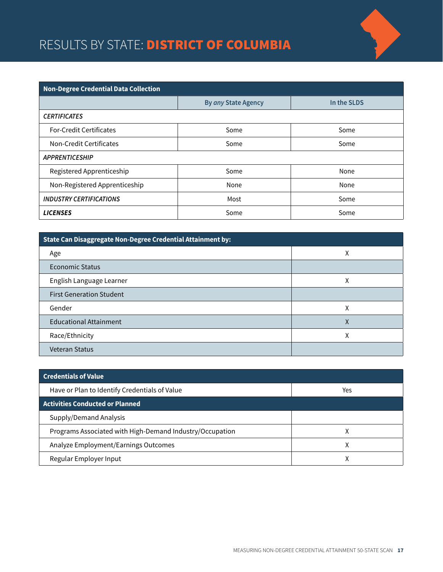# RESULTS BY STATE: **DISTRICT OF COLUMBIA**



| <b>Non-Degree Credential Data Collection</b> |                     |             |  |
|----------------------------------------------|---------------------|-------------|--|
|                                              | By any State Agency | In the SLDS |  |
| <b>CERTIFICATES</b>                          |                     |             |  |
| <b>For-Credit Certificates</b>               | Some                | Some        |  |
| Non-Credit Certificates                      | Some                | Some        |  |
| <b>APPRENTICESHIP</b>                        |                     |             |  |
| Registered Apprenticeship                    | Some                | None        |  |
| Non-Registered Apprenticeship                | None                | None        |  |
| <b>INDUSTRY CERTIFICATIONS</b>               | Most                | Some        |  |
| <b>LICENSES</b>                              | Some                | Some        |  |

| State Can Disaggregate Non-Degree Credential Attainment by: |   |  |
|-------------------------------------------------------------|---|--|
| Age                                                         | χ |  |
| Economic Status                                             |   |  |
| English Language Learner                                    | Χ |  |
| <b>First Generation Student</b>                             |   |  |
| Gender                                                      | χ |  |
| <b>Educational Attainment</b>                               | χ |  |
| Race/Ethnicity                                              | Χ |  |
| <b>Veteran Status</b>                                       |   |  |

| <b>Credentials of Value</b>                              |     |
|----------------------------------------------------------|-----|
| Have or Plan to Identify Credentials of Value            | Yes |
| <b>Activities Conducted or Planned</b>                   |     |
| Supply/Demand Analysis                                   |     |
| Programs Associated with High-Demand Industry/Occupation | х   |
| Analyze Employment/Earnings Outcomes                     | χ   |
| Regular Employer Input                                   |     |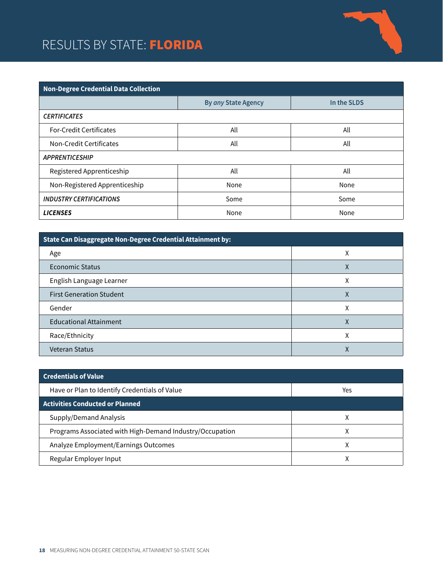### RESULTS BY STATE: FLORIDA



| <b>Non-Degree Credential Data Collection</b> |                     |             |  |
|----------------------------------------------|---------------------|-------------|--|
|                                              | By any State Agency | In the SLDS |  |
| <b>CERTIFICATES</b>                          |                     |             |  |
| <b>For-Credit Certificates</b>               | All                 | All         |  |
| Non-Credit Certificates                      | All                 | All         |  |
| <b>APPRENTICESHIP</b>                        |                     |             |  |
| Registered Apprenticeship                    | All                 | All         |  |
| Non-Registered Apprenticeship                | None                | None        |  |
| <b>INDUSTRY CERTIFICATIONS</b>               | Some                | Some        |  |
| <b>LICENSES</b>                              | None                | None        |  |

| State Can Disaggregate Non-Degree Credential Attainment by: |   |  |
|-------------------------------------------------------------|---|--|
| Age                                                         | ⋏ |  |
| <b>Economic Status</b>                                      | Χ |  |
| English Language Learner                                    | Χ |  |
| <b>First Generation Student</b>                             | Χ |  |
| Gender                                                      | χ |  |
| <b>Educational Attainment</b>                               | χ |  |
| Race/Ethnicity                                              | л |  |
| <b>Veteran Status</b>                                       |   |  |

| <b>Credentials of Value</b>                              |     |
|----------------------------------------------------------|-----|
| Have or Plan to Identify Credentials of Value            | Yes |
| <b>Activities Conducted or Planned</b>                   |     |
| Supply/Demand Analysis                                   |     |
| Programs Associated with High-Demand Industry/Occupation | л   |
| Analyze Employment/Earnings Outcomes                     |     |
| Regular Employer Input                                   |     |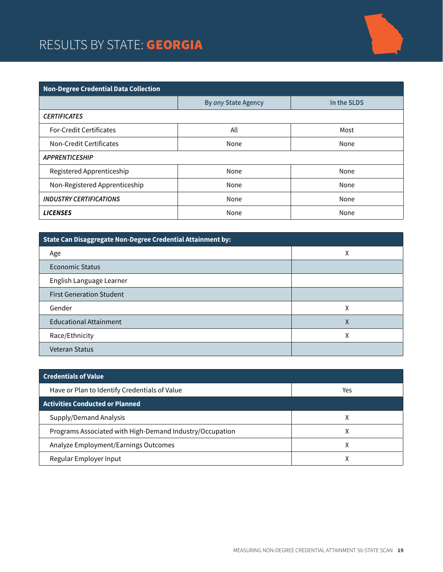### RESULTS BY STATE: GEORGIA



| <b>Non-Degree Credential Data Collection</b> |                     |             |
|----------------------------------------------|---------------------|-------------|
|                                              | By any State Agency | In the SLDS |
| <b>CERTIFICATES</b>                          |                     |             |
| <b>For-Credit Certificates</b>               | All                 | Most        |
| Non-Credit Certificates                      | None                | None        |
| <b>APPRENTICESHIP</b>                        |                     |             |
| Registered Apprenticeship                    | None                | None        |
| Non-Registered Apprenticeship                | None                | None        |
| <b>INDUSTRY CERTIFICATIONS</b>               | None                | None        |
| <b>LICENSES</b>                              | None                | None        |

| State Can Disaggregate Non-Degree Credential Attainment by: |   |  |
|-------------------------------------------------------------|---|--|
| Age                                                         | Χ |  |
| Economic Status                                             |   |  |
| English Language Learner                                    |   |  |
| <b>First Generation Student</b>                             |   |  |
| Gender                                                      | χ |  |
| <b>Educational Attainment</b>                               | χ |  |
| Race/Ethnicity                                              | Χ |  |
| <b>Veteran Status</b>                                       |   |  |

| <b>Credentials of Value</b>                              |     |
|----------------------------------------------------------|-----|
| Have or Plan to Identify Credentials of Value            | Yes |
| <b>Activities Conducted or Planned</b>                   |     |
| Supply/Demand Analysis                                   |     |
| Programs Associated with High-Demand Industry/Occupation | Χ   |
| Analyze Employment/Earnings Outcomes                     | χ   |
| Regular Employer Input                                   |     |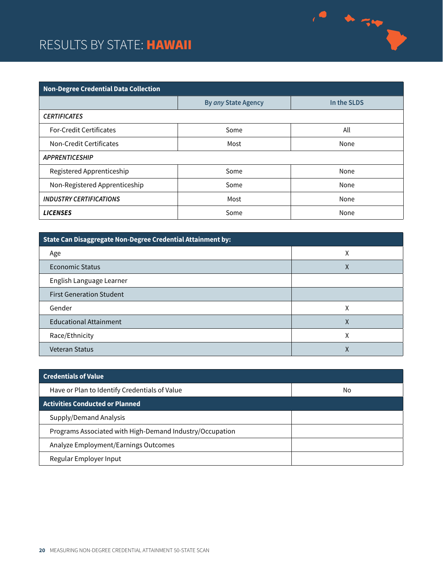#### RESULTS BY STATE: HAWAII



 $\frac{1}{2}$ 

| State Can Disaggregate Non-Degree Credential Attainment by: |   |  |
|-------------------------------------------------------------|---|--|
| Age                                                         | χ |  |
| Economic Status                                             | Χ |  |
| English Language Learner                                    |   |  |
| <b>First Generation Student</b>                             |   |  |
| Gender                                                      | χ |  |
| <b>Educational Attainment</b>                               | χ |  |
| Race/Ethnicity                                              | Χ |  |
| <b>Veteran Status</b>                                       | ∧ |  |

| <b>Credentials of Value</b>                              |    |
|----------------------------------------------------------|----|
| Have or Plan to Identify Credentials of Value            | No |
| <b>Activities Conducted or Planned</b>                   |    |
| Supply/Demand Analysis                                   |    |
| Programs Associated with High-Demand Industry/Occupation |    |
| Analyze Employment/Earnings Outcomes                     |    |
| Regular Employer Input                                   |    |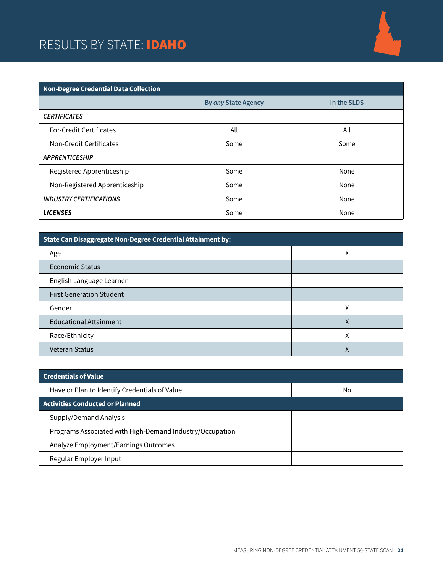### RESULTS BY STATE: **IDAHO**



| <b>Non-Degree Credential Data Collection</b> |                            |             |  |
|----------------------------------------------|----------------------------|-------------|--|
|                                              | <b>By any State Agency</b> | In the SLDS |  |
| <b>CERTIFICATES</b>                          |                            |             |  |
| <b>For-Credit Certificates</b>               | All                        | All         |  |
| Non-Credit Certificates                      | Some                       | Some        |  |
| <b>APPRENTICESHIP</b>                        |                            |             |  |
| Registered Apprenticeship                    | Some                       | None        |  |
| Non-Registered Apprenticeship                | Some                       | None        |  |
| <b>INDUSTRY CERTIFICATIONS</b>               | Some                       | None        |  |
| <b>LICENSES</b>                              | Some                       | None        |  |

| State Can Disaggregate Non-Degree Credential Attainment by: |   |  |
|-------------------------------------------------------------|---|--|
| Age                                                         | Χ |  |
| Economic Status                                             |   |  |
| English Language Learner                                    |   |  |
| <b>First Generation Student</b>                             |   |  |
| Gender                                                      | χ |  |
| <b>Educational Attainment</b>                               | χ |  |
| Race/Ethnicity                                              | χ |  |
| <b>Veteran Status</b>                                       |   |  |

| <b>Credentials of Value</b>                              |    |
|----------------------------------------------------------|----|
| Have or Plan to Identify Credentials of Value            | No |
| <b>Activities Conducted or Planned</b>                   |    |
| Supply/Demand Analysis                                   |    |
| Programs Associated with High-Demand Industry/Occupation |    |
| Analyze Employment/Earnings Outcomes                     |    |
| Regular Employer Input                                   |    |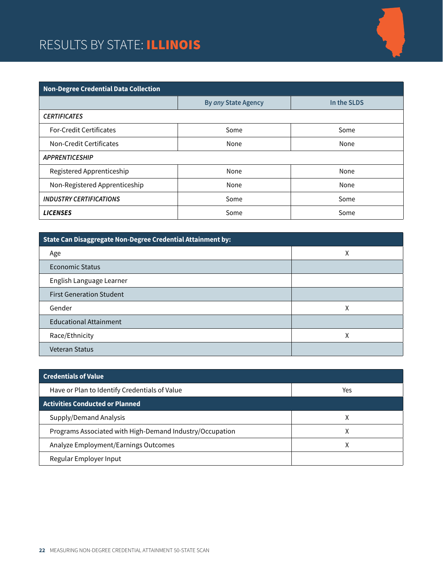### RESULTS BY STATE: ILLINOIS



| <b>Non-Degree Credential Data Collection</b> |                     |             |  |
|----------------------------------------------|---------------------|-------------|--|
|                                              | By any State Agency | In the SLDS |  |
| <b>CERTIFICATES</b>                          |                     |             |  |
| <b>For-Credit Certificates</b>               | Some                | Some        |  |
| Non-Credit Certificates                      | None                | None        |  |
| <b>APPRENTICESHIP</b>                        |                     |             |  |
| Registered Apprenticeship                    | None                | None        |  |
| Non-Registered Apprenticeship                | None                | None        |  |
| <b>INDUSTRY CERTIFICATIONS</b>               | Some                | Some        |  |
| <b>LICENSES</b>                              | Some                | Some        |  |

| State Can Disaggregate Non-Degree Credential Attainment by: |   |  |
|-------------------------------------------------------------|---|--|
| Age                                                         | Χ |  |
| Economic Status                                             |   |  |
| English Language Learner                                    |   |  |
| <b>First Generation Student</b>                             |   |  |
| Gender                                                      | χ |  |
| <b>Educational Attainment</b>                               |   |  |
| Race/Ethnicity                                              | χ |  |
| <b>Veteran Status</b>                                       |   |  |

| <b>Credentials of Value</b>                              |     |
|----------------------------------------------------------|-----|
| Have or Plan to Identify Credentials of Value            | Yes |
| <b>Activities Conducted or Planned</b>                   |     |
| Supply/Demand Analysis                                   |     |
| Programs Associated with High-Demand Industry/Occupation | v   |
| Analyze Employment/Earnings Outcomes                     | Χ   |
| Regular Employer Input                                   |     |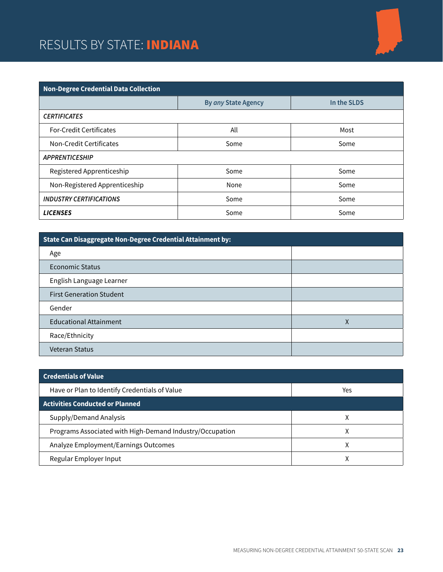### RESULTS BY STATE: INDIANA



| <b>Non-Degree Credential Data Collection</b> |                     |             |  |
|----------------------------------------------|---------------------|-------------|--|
|                                              | By any State Agency | In the SLDS |  |
| <b>CERTIFICATES</b>                          |                     |             |  |
| <b>For-Credit Certificates</b>               | All                 | Most        |  |
| Non-Credit Certificates                      | Some                | Some        |  |
| <b>APPRENTICESHIP</b>                        |                     |             |  |
| Registered Apprenticeship                    | Some                | Some        |  |
| Non-Registered Apprenticeship                | None                | Some        |  |
| <b>INDUSTRY CERTIFICATIONS</b>               | Some                | Some        |  |
| <b>LICENSES</b>                              | Some                | Some        |  |

| State Can Disaggregate Non-Degree Credential Attainment by: |   |
|-------------------------------------------------------------|---|
| Age                                                         |   |
| Economic Status                                             |   |
| English Language Learner                                    |   |
| <b>First Generation Student</b>                             |   |
| Gender                                                      |   |
| <b>Educational Attainment</b>                               | χ |
| Race/Ethnicity                                              |   |
| <b>Veteran Status</b>                                       |   |

| <b>Credentials of Value</b>                              |     |
|----------------------------------------------------------|-----|
| Have or Plan to Identify Credentials of Value            | Yes |
| <b>Activities Conducted or Planned</b>                   |     |
| Supply/Demand Analysis                                   |     |
| Programs Associated with High-Demand Industry/Occupation | Χ   |
| Analyze Employment/Earnings Outcomes                     | χ   |
| Regular Employer Input                                   |     |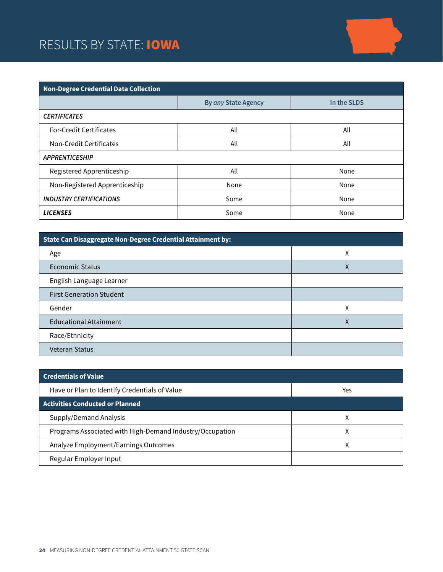### RESULTS BY STATE: **IOWA**



| <b>Non-Degree Credential Data Collection</b> |                     |             |  |
|----------------------------------------------|---------------------|-------------|--|
|                                              | By any State Agency | In the SLDS |  |
| <b>CERTIFICATES</b>                          |                     |             |  |
| <b>For-Credit Certificates</b>               | All                 | All         |  |
| Non-Credit Certificates                      | All                 | All         |  |
| <b>APPRENTICESHIP</b>                        |                     |             |  |
| Registered Apprenticeship                    | All                 | None        |  |
| Non-Registered Apprenticeship                | None                | None        |  |
| <b>INDUSTRY CERTIFICATIONS</b>               | Some                | None        |  |
| <b>LICENSES</b>                              | Some                | None        |  |

| State Can Disaggregate Non-Degree Credential Attainment by: |   |  |
|-------------------------------------------------------------|---|--|
| Age                                                         | Χ |  |
| Economic Status                                             | Χ |  |
| English Language Learner                                    |   |  |
| <b>First Generation Student</b>                             |   |  |
| Gender                                                      | χ |  |
| <b>Educational Attainment</b>                               | χ |  |
| Race/Ethnicity                                              |   |  |
| <b>Veteran Status</b>                                       |   |  |

| <b>Credentials of Value</b>                              |     |
|----------------------------------------------------------|-----|
| Have or Plan to Identify Credentials of Value            | Yes |
| <b>Activities Conducted or Planned</b>                   |     |
| Supply/Demand Analysis                                   |     |
| Programs Associated with High-Demand Industry/Occupation | ⋏   |
| Analyze Employment/Earnings Outcomes                     | χ   |
| Regular Employer Input                                   |     |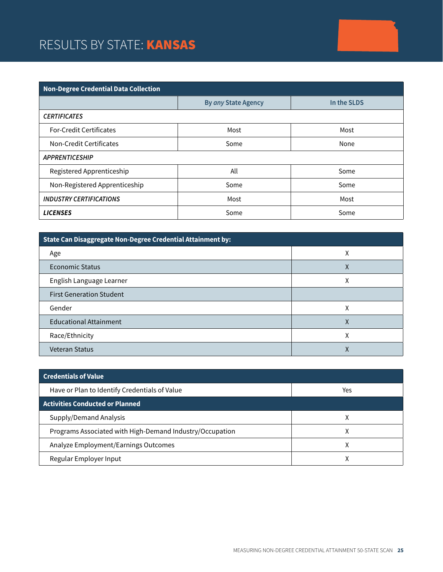### RESULTS BY STATE: **KANSAS**

| <b>Non-Degree Credential Data Collection</b> |                     |             |  |
|----------------------------------------------|---------------------|-------------|--|
|                                              | By any State Agency | In the SLDS |  |
| <b>CERTIFICATES</b>                          |                     |             |  |
| <b>For-Credit Certificates</b>               | Most                | Most        |  |
| Non-Credit Certificates                      | Some                | None        |  |
| <b>APPRENTICESHIP</b>                        |                     |             |  |
| Registered Apprenticeship                    | All                 | Some        |  |
| Non-Registered Apprenticeship                | Some                | Some        |  |
| <b>INDUSTRY CERTIFICATIONS</b>               | Most                | Most        |  |
| <b>LICENSES</b>                              | Some                | Some        |  |

| State Can Disaggregate Non-Degree Credential Attainment by: |   |  |
|-------------------------------------------------------------|---|--|
| Age                                                         | χ |  |
| Economic Status                                             | Χ |  |
| English Language Learner                                    | Χ |  |
| <b>First Generation Student</b>                             |   |  |
| Gender                                                      | χ |  |
| <b>Educational Attainment</b>                               | Χ |  |
| Race/Ethnicity                                              | Χ |  |
| <b>Veteran Status</b>                                       | Λ |  |

| <b>Credentials of Value</b>                              |     |  |
|----------------------------------------------------------|-----|--|
| Have or Plan to Identify Credentials of Value            | Yes |  |
| <b>Activities Conducted or Planned</b>                   |     |  |
| Supply/Demand Analysis                                   | ⋏   |  |
| Programs Associated with High-Demand Industry/Occupation | v   |  |
| Analyze Employment/Earnings Outcomes                     |     |  |
| Regular Employer Input                                   |     |  |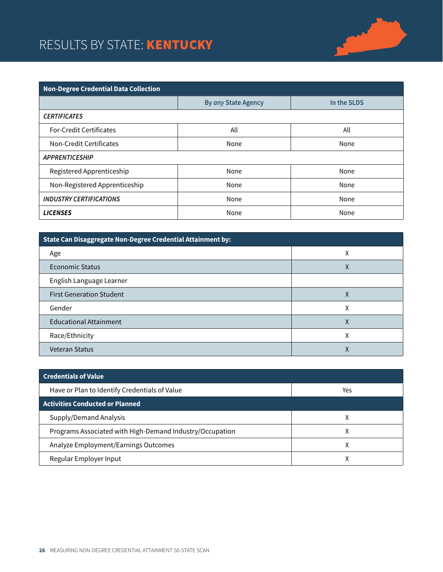### RESULTS BY STATE: **KENTUCKY**



| <b>Non-Degree Credential Data Collection</b> |                     |             |  |
|----------------------------------------------|---------------------|-------------|--|
|                                              | By any State Agency | In the SLDS |  |
| <b>CERTIFICATES</b>                          |                     |             |  |
| <b>For-Credit Certificates</b>               | All                 | All         |  |
| Non-Credit Certificates                      | None                | None        |  |
| <b>APPRENTICESHIP</b>                        |                     |             |  |
| Registered Apprenticeship                    | None                | None        |  |
| Non-Registered Apprenticeship                | None                | None        |  |
| <b>INDUSTRY CERTIFICATIONS</b>               | None                | None        |  |
| <b>LICENSES</b>                              | None                | None        |  |

| State Can Disaggregate Non-Degree Credential Attainment by: |   |  |
|-------------------------------------------------------------|---|--|
| Age                                                         | Χ |  |
| Economic Status                                             | л |  |
| English Language Learner                                    |   |  |
| <b>First Generation Student</b>                             | Χ |  |
| Gender                                                      | Χ |  |
| <b>Educational Attainment</b>                               | χ |  |
| Race/Ethnicity                                              | χ |  |
| <b>Veteran Status</b>                                       |   |  |

| <b>Credentials of Value</b>                              |     |
|----------------------------------------------------------|-----|
| Have or Plan to Identify Credentials of Value            | Yes |
| <b>Activities Conducted or Planned</b>                   |     |
| Supply/Demand Analysis                                   |     |
| Programs Associated with High-Demand Industry/Occupation |     |
| Analyze Employment/Earnings Outcomes                     |     |
| Regular Employer Input                                   |     |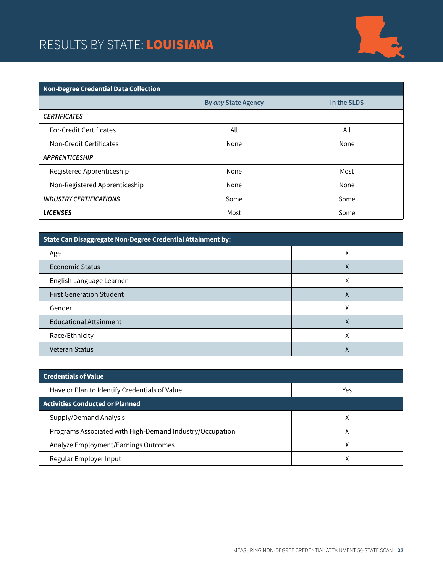### RESULTS BY STATE: LOUISIANA



| <b>Non-Degree Credential Data Collection</b> |                     |             |  |
|----------------------------------------------|---------------------|-------------|--|
|                                              | By any State Agency | In the SLDS |  |
| <b>CERTIFICATES</b>                          |                     |             |  |
| <b>For-Credit Certificates</b>               | All                 | All         |  |
| Non-Credit Certificates                      | None                | None        |  |
| <b>APPRENTICESHIP</b>                        |                     |             |  |
| Registered Apprenticeship                    | None                | Most        |  |
| Non-Registered Apprenticeship                | None                | None        |  |
| <b>INDUSTRY CERTIFICATIONS</b>               | Some                | Some        |  |
| <b>LICENSES</b>                              | Most                | Some        |  |

| State Can Disaggregate Non-Degree Credential Attainment by: |        |  |
|-------------------------------------------------------------|--------|--|
| Age                                                         | ν<br>⋏ |  |
| <b>Economic Status</b>                                      | Χ      |  |
| English Language Learner                                    | χ      |  |
| <b>First Generation Student</b>                             | Χ      |  |
| Gender                                                      | Χ      |  |
| <b>Educational Attainment</b>                               | Χ      |  |
| Race/Ethnicity                                              | χ      |  |
| <b>Veteran Status</b>                                       | Λ      |  |

| <b>Credentials of Value</b>                              |     |
|----------------------------------------------------------|-----|
| Have or Plan to Identify Credentials of Value            | Yes |
| <b>Activities Conducted or Planned</b>                   |     |
| Supply/Demand Analysis                                   |     |
| Programs Associated with High-Demand Industry/Occupation | ⋏   |
| Analyze Employment/Earnings Outcomes                     | χ   |
| Regular Employer Input                                   |     |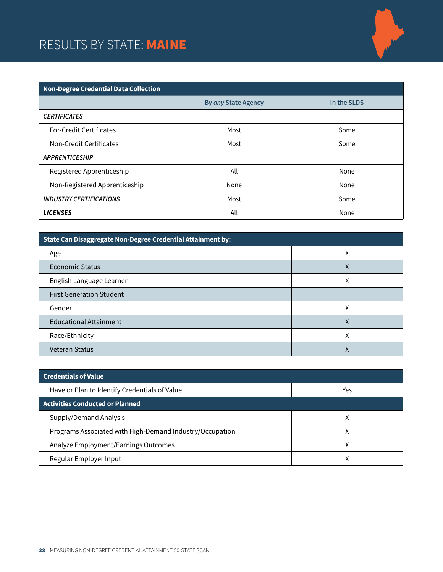### RESULTS BY STATE: MAINE



| <b>Non-Degree Credential Data Collection</b> |                     |             |  |
|----------------------------------------------|---------------------|-------------|--|
|                                              | By any State Agency | In the SLDS |  |
| <b>CERTIFICATES</b>                          |                     |             |  |
| <b>For-Credit Certificates</b>               | Most                | Some        |  |
| Non-Credit Certificates                      | Most                | Some        |  |
| <b>APPRENTICESHIP</b>                        |                     |             |  |
| Registered Apprenticeship                    | All                 | None        |  |
| Non-Registered Apprenticeship                | None                | None        |  |
| <b>INDUSTRY CERTIFICATIONS</b>               | Most                | Some        |  |
| <b>LICENSES</b>                              | All                 | None        |  |

| State Can Disaggregate Non-Degree Credential Attainment by: |   |  |
|-------------------------------------------------------------|---|--|
| Age                                                         | Χ |  |
| Economic Status                                             | л |  |
| English Language Learner                                    | χ |  |
| <b>First Generation Student</b>                             |   |  |
| Gender                                                      | Χ |  |
| <b>Educational Attainment</b>                               | χ |  |
| Race/Ethnicity                                              | χ |  |
| <b>Veteran Status</b>                                       |   |  |

| <b>Credentials of Value</b>                              |     |
|----------------------------------------------------------|-----|
| Have or Plan to Identify Credentials of Value            | Yes |
| <b>Activities Conducted or Planned</b>                   |     |
| Supply/Demand Analysis                                   |     |
| Programs Associated with High-Demand Industry/Occupation |     |
| Analyze Employment/Earnings Outcomes                     |     |
| Regular Employer Input                                   |     |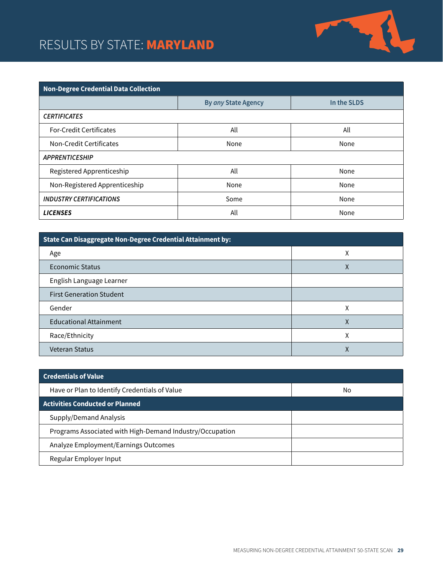### RESULTS BY STATE: MARYLAND



| <b>Non-Degree Credential Data Collection</b> |                     |             |  |
|----------------------------------------------|---------------------|-------------|--|
|                                              | By any State Agency | In the SLDS |  |
| <b>CERTIFICATES</b>                          |                     |             |  |
| <b>For-Credit Certificates</b>               | All                 | All         |  |
| Non-Credit Certificates                      | None                | None        |  |
| <b>APPRENTICESHIP</b>                        |                     |             |  |
| Registered Apprenticeship                    | All                 | None        |  |
| Non-Registered Apprenticeship                | None                | None        |  |
| <b>INDUSTRY CERTIFICATIONS</b>               | Some                | None        |  |
| <b>LICENSES</b>                              | All                 | None        |  |

| State Can Disaggregate Non-Degree Credential Attainment by: |   |  |
|-------------------------------------------------------------|---|--|
| Age                                                         | Χ |  |
| Economic Status                                             | Χ |  |
| English Language Learner                                    |   |  |
| <b>First Generation Student</b>                             |   |  |
| Gender                                                      | χ |  |
| <b>Educational Attainment</b>                               | χ |  |
| Race/Ethnicity                                              | Χ |  |
| <b>Veteran Status</b>                                       | ∧ |  |

| <b>Credentials of Value</b>                              |    |
|----------------------------------------------------------|----|
| Have or Plan to Identify Credentials of Value            | No |
| <b>Activities Conducted or Planned</b>                   |    |
| Supply/Demand Analysis                                   |    |
| Programs Associated with High-Demand Industry/Occupation |    |
| Analyze Employment/Earnings Outcomes                     |    |
| Regular Employer Input                                   |    |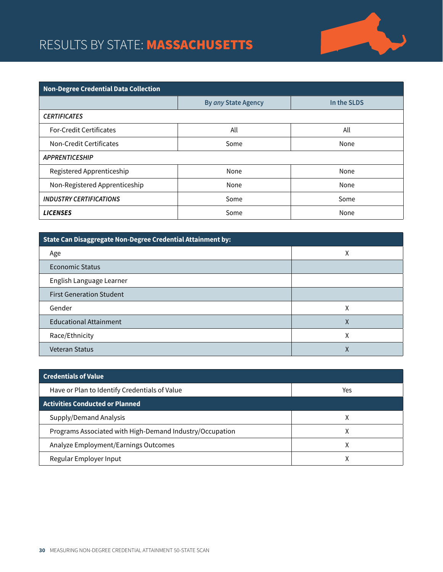### RESULTS BY STATE: MASSACHUSETTS



| <b>Non-Degree Credential Data Collection</b> |                     |             |  |
|----------------------------------------------|---------------------|-------------|--|
|                                              | By any State Agency | In the SLDS |  |
| <b>CERTIFICATES</b>                          |                     |             |  |
| <b>For-Credit Certificates</b>               | All                 | All         |  |
| Non-Credit Certificates                      | Some                | None        |  |
| <b>APPRENTICESHIP</b>                        |                     |             |  |
| Registered Apprenticeship                    | None                | None        |  |
| Non-Registered Apprenticeship                | None                | None        |  |
| <b>INDUSTRY CERTIFICATIONS</b>               | Some                | Some        |  |
| <b>LICENSES</b>                              | Some                | None        |  |

| State Can Disaggregate Non-Degree Credential Attainment by: |   |  |
|-------------------------------------------------------------|---|--|
| Age                                                         | Χ |  |
| <b>Economic Status</b>                                      |   |  |
| English Language Learner                                    |   |  |
| <b>First Generation Student</b>                             |   |  |
| Gender                                                      | χ |  |
| <b>Educational Attainment</b>                               | χ |  |
| Race/Ethnicity                                              | χ |  |
| <b>Veteran Status</b>                                       |   |  |

| <b>Credentials of Value</b>                              |     |
|----------------------------------------------------------|-----|
| Have or Plan to Identify Credentials of Value            | Yes |
| <b>Activities Conducted or Planned</b>                   |     |
| Supply/Demand Analysis                                   |     |
| Programs Associated with High-Demand Industry/Occupation |     |
| Analyze Employment/Earnings Outcomes                     |     |
| Regular Employer Input                                   |     |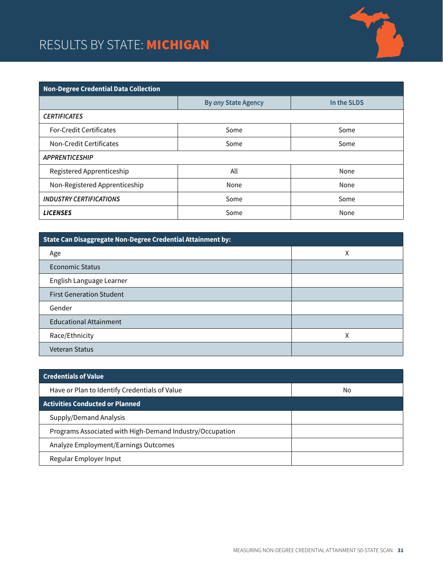### RESULTS BY STATE: **MICHIGAN**



| <b>Non-Degree Credential Data Collection</b> |                     |             |  |
|----------------------------------------------|---------------------|-------------|--|
|                                              | By any State Agency | In the SLDS |  |
| <b>CERTIFICATES</b>                          |                     |             |  |
| <b>For-Credit Certificates</b>               | Some                | Some        |  |
| Non-Credit Certificates                      | Some                | Some        |  |
| <b>APPRENTICESHIP</b>                        |                     |             |  |
| Registered Apprenticeship                    | All                 | None        |  |
| Non-Registered Apprenticeship                | None                | None        |  |
| <b>INDUSTRY CERTIFICATIONS</b>               | Some                | Some        |  |
| <b>LICENSES</b>                              | Some                | None        |  |

| State Can Disaggregate Non-Degree Credential Attainment by: |   |  |
|-------------------------------------------------------------|---|--|
| Age                                                         | Χ |  |
| Economic Status                                             |   |  |
| English Language Learner                                    |   |  |
| <b>First Generation Student</b>                             |   |  |
| Gender                                                      |   |  |
| <b>Educational Attainment</b>                               |   |  |
| Race/Ethnicity                                              | χ |  |
| <b>Veteran Status</b>                                       |   |  |

| <b>Credentials of Value</b>                              |    |
|----------------------------------------------------------|----|
| Have or Plan to Identify Credentials of Value            | No |
| <b>Activities Conducted or Planned</b>                   |    |
| Supply/Demand Analysis                                   |    |
| Programs Associated with High-Demand Industry/Occupation |    |
| Analyze Employment/Earnings Outcomes                     |    |
| Regular Employer Input                                   |    |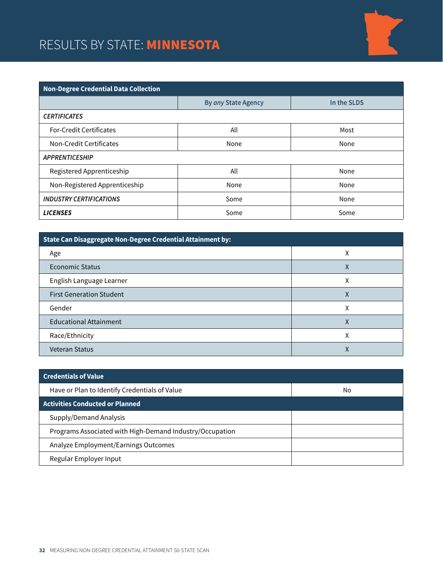### RESULTS BY STATE: MINNESOTA



| <b>Non-Degree Credential Data Collection</b> |                     |             |
|----------------------------------------------|---------------------|-------------|
|                                              | By any State Agency | In the SLDS |
| <b>CERTIFICATES</b>                          |                     |             |
| <b>For-Credit Certificates</b>               | All                 | Most        |
| Non-Credit Certificates                      | None                | None        |
| <b>APPRENTICESHIP</b>                        |                     |             |
| Registered Apprenticeship                    | All                 | None        |
| Non-Registered Apprenticeship                | None                | None        |
| <b>INDUSTRY CERTIFICATIONS</b>               | Some                | None        |
| <b>LICENSES</b>                              | Some                | Some        |

| State Can Disaggregate Non-Degree Credential Attainment by: |   |
|-------------------------------------------------------------|---|
| Age                                                         | Λ |
| <b>Economic Status</b>                                      | Χ |
| English Language Learner                                    | Χ |
| <b>First Generation Student</b>                             | Χ |
| Gender                                                      | Χ |
| <b>Educational Attainment</b>                               | Χ |
| Race/Ethnicity                                              |   |
| <b>Veteran Status</b>                                       |   |

| <b>Credentials of Value</b>                              |    |
|----------------------------------------------------------|----|
| Have or Plan to Identify Credentials of Value            | No |
| <b>Activities Conducted or Planned</b>                   |    |
| Supply/Demand Analysis                                   |    |
| Programs Associated with High-Demand Industry/Occupation |    |
| Analyze Employment/Earnings Outcomes                     |    |
| Regular Employer Input                                   |    |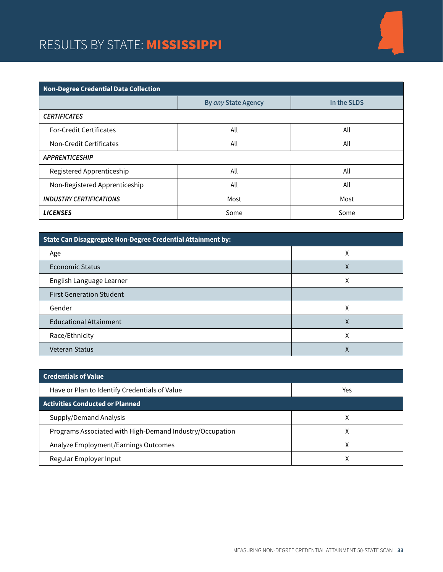#### RESULTS BY STATE: MISSISSIPPI



| State Can Disaggregate Non-Degree Credential Attainment by: |   |
|-------------------------------------------------------------|---|
| Age                                                         | χ |
| Economic Status                                             | Χ |
| English Language Learner                                    | χ |
| <b>First Generation Student</b>                             |   |
| Gender                                                      | χ |
| <b>Educational Attainment</b>                               | Χ |
| Race/Ethnicity                                              | χ |
| <b>Veteran Status</b>                                       | Λ |

| <b>Credentials of Value</b>                              |     |
|----------------------------------------------------------|-----|
| Have or Plan to Identify Credentials of Value            | Yes |
| <b>Activities Conducted or Planned</b>                   |     |
| Supply/Demand Analysis                                   |     |
| Programs Associated with High-Demand Industry/Occupation | Χ   |
| Analyze Employment/Earnings Outcomes                     | χ   |
| Regular Employer Input                                   |     |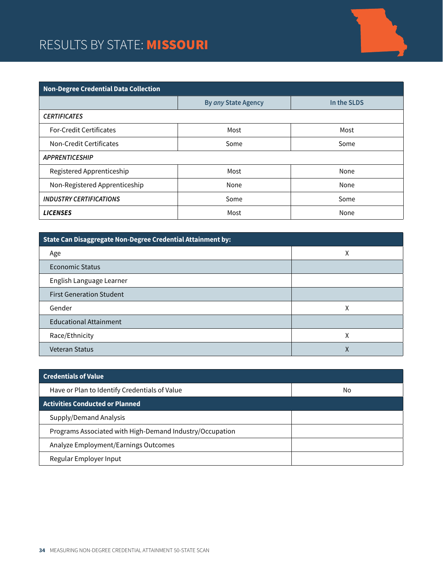#### RESULTS BY STATE: MISSOURI



| State Can Disaggregate Non-Degree Credential Attainment by: |   |
|-------------------------------------------------------------|---|
| Age                                                         | Χ |
| Economic Status                                             |   |
| English Language Learner                                    |   |
| <b>First Generation Student</b>                             |   |
| Gender                                                      | χ |
| <b>Educational Attainment</b>                               |   |
| Race/Ethnicity                                              | Χ |
| <b>Veteran Status</b>                                       | v |

| <b>Credentials of Value</b>                              |    |
|----------------------------------------------------------|----|
| Have or Plan to Identify Credentials of Value            | No |
| <b>Activities Conducted or Planned</b>                   |    |
| Supply/Demand Analysis                                   |    |
| Programs Associated with High-Demand Industry/Occupation |    |
| Analyze Employment/Earnings Outcomes                     |    |
| Regular Employer Input                                   |    |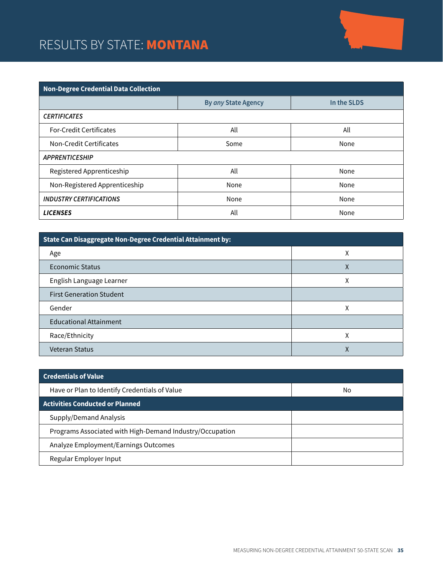# RESULTS BY STATE: MONTANA

| <b>Non-Degree Credential Data Collection</b> |                     |             |  |
|----------------------------------------------|---------------------|-------------|--|
|                                              | By any State Agency | In the SLDS |  |
| <b>CERTIFICATES</b>                          |                     |             |  |
| <b>For-Credit Certificates</b>               | All                 | All         |  |
| Non-Credit Certificates                      | Some                | None        |  |
| <b>APPRENTICESHIP</b>                        |                     |             |  |
| Registered Apprenticeship                    | All                 | None        |  |
| Non-Registered Apprenticeship                | None                | None        |  |
| <b>INDUSTRY CERTIFICATIONS</b>               | None                | None        |  |
| <b>LICENSES</b>                              | All                 | None        |  |

| State Can Disaggregate Non-Degree Credential Attainment by: |   |  |
|-------------------------------------------------------------|---|--|
| Age                                                         | ⋏ |  |
| <b>Economic Status</b>                                      | Χ |  |
| English Language Learner                                    | χ |  |
| <b>First Generation Student</b>                             |   |  |
| Gender                                                      | Χ |  |
| <b>Educational Attainment</b>                               |   |  |
| Race/Ethnicity                                              | χ |  |
| Veteran Status                                              | ∧ |  |

| <b>Credentials of Value</b>                              |    |
|----------------------------------------------------------|----|
| Have or Plan to Identify Credentials of Value            | No |
| <b>Activities Conducted or Planned</b>                   |    |
| Supply/Demand Analysis                                   |    |
| Programs Associated with High-Demand Industry/Occupation |    |
| Analyze Employment/Earnings Outcomes                     |    |
| Regular Employer Input                                   |    |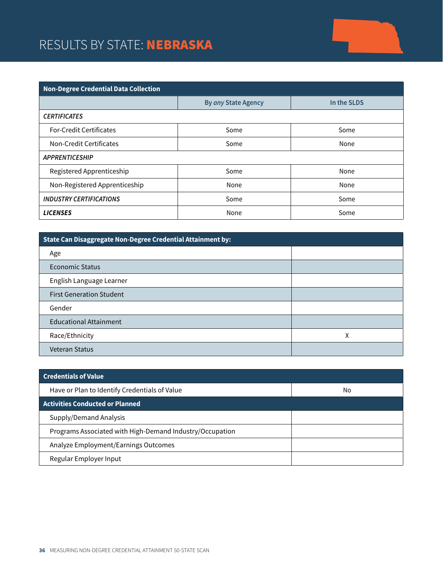## RESULTS BY STATE: NEBRASKA

| <b>Non-Degree Credential Data Collection</b> |                     |             |  |
|----------------------------------------------|---------------------|-------------|--|
|                                              | By any State Agency | In the SLDS |  |
| <b>CERTIFICATES</b>                          |                     |             |  |
| <b>For-Credit Certificates</b>               | Some                | Some        |  |
| Non-Credit Certificates                      | Some                | None        |  |
| <b>APPRENTICESHIP</b>                        |                     |             |  |
| Registered Apprenticeship                    | Some                | None        |  |
| Non-Registered Apprenticeship                | None                | None        |  |
| <b>INDUSTRY CERTIFICATIONS</b>               | Some                | Some        |  |
| <b>LICENSES</b>                              | None                | Some        |  |

| State Can Disaggregate Non-Degree Credential Attainment by: |   |  |
|-------------------------------------------------------------|---|--|
| Age                                                         |   |  |
| Economic Status                                             |   |  |
| English Language Learner                                    |   |  |
| <b>First Generation Student</b>                             |   |  |
| Gender                                                      |   |  |
| <b>Educational Attainment</b>                               |   |  |
| Race/Ethnicity                                              | Χ |  |
| <b>Veteran Status</b>                                       |   |  |

| <b>Credentials of Value</b>                              |    |
|----------------------------------------------------------|----|
| Have or Plan to Identify Credentials of Value            | No |
| <b>Activities Conducted or Planned</b>                   |    |
| Supply/Demand Analysis                                   |    |
| Programs Associated with High-Demand Industry/Occupation |    |
| Analyze Employment/Earnings Outcomes                     |    |
| Regular Employer Input                                   |    |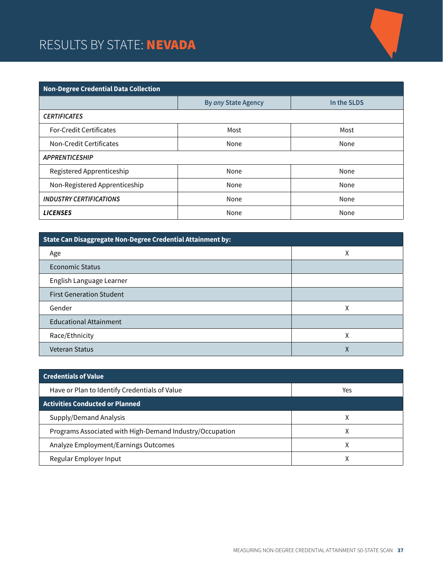### RESULTS BY STATE: NEVADA

| <b>Non-Degree Credential Data Collection</b> |                     |             |  |
|----------------------------------------------|---------------------|-------------|--|
|                                              | By any State Agency | In the SLDS |  |
| <b>CERTIFICATES</b>                          |                     |             |  |
| <b>For-Credit Certificates</b>               | Most                | Most        |  |
| Non-Credit Certificates                      | None                | None        |  |
| <b>APPRENTICESHIP</b>                        |                     |             |  |
| Registered Apprenticeship                    | None                | None        |  |
| Non-Registered Apprenticeship                | None                | None        |  |
| <b>INDUSTRY CERTIFICATIONS</b>               | None                | None        |  |
| <b>LICENSES</b>                              | None                | None        |  |

| State Can Disaggregate Non-Degree Credential Attainment by: |   |  |
|-------------------------------------------------------------|---|--|
| Age                                                         | χ |  |
| Economic Status                                             |   |  |
| English Language Learner                                    |   |  |
| <b>First Generation Student</b>                             |   |  |
| Gender                                                      | χ |  |
| <b>Educational Attainment</b>                               |   |  |
| Race/Ethnicity                                              | χ |  |
| <b>Veteran Status</b>                                       | Λ |  |

| <b>Credentials of Value</b>                              |     |
|----------------------------------------------------------|-----|
| Have or Plan to Identify Credentials of Value            | Yes |
| <b>Activities Conducted or Planned</b>                   |     |
| Supply/Demand Analysis                                   |     |
| Programs Associated with High-Demand Industry/Occupation | Χ   |
| Analyze Employment/Earnings Outcomes                     | χ   |
| Regular Employer Input                                   |     |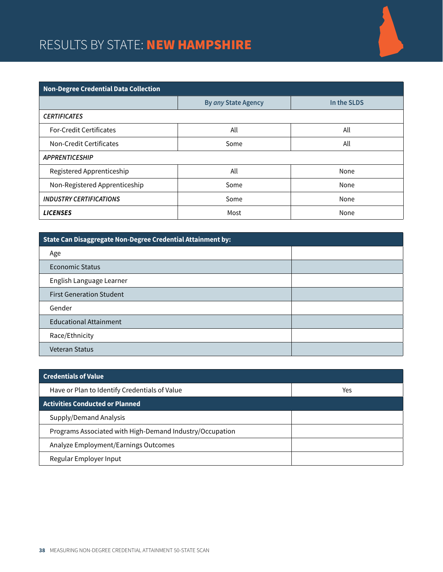#### RESULTS BY STATE: NEW HAMPSHIRE



| State Can Disaggregate Non-Degree Credential Attainment by: |  |  |
|-------------------------------------------------------------|--|--|
| Age                                                         |  |  |
| Economic Status                                             |  |  |
| English Language Learner                                    |  |  |
| <b>First Generation Student</b>                             |  |  |
| Gender                                                      |  |  |
| <b>Educational Attainment</b>                               |  |  |
| Race/Ethnicity                                              |  |  |
| <b>Veteran Status</b>                                       |  |  |

| <b>Credentials of Value</b>                              |     |
|----------------------------------------------------------|-----|
| Have or Plan to Identify Credentials of Value            | Yes |
| <b>Activities Conducted or Planned</b>                   |     |
| Supply/Demand Analysis                                   |     |
| Programs Associated with High-Demand Industry/Occupation |     |
| Analyze Employment/Earnings Outcomes                     |     |
| Regular Employer Input                                   |     |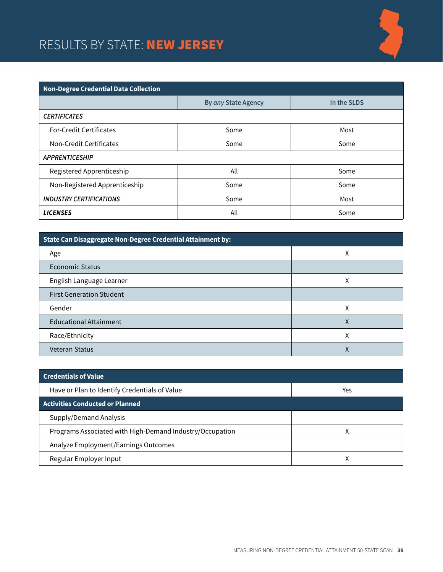## RESULTS BY STATE: NEW JERSEY



| <b>Non-Degree Credential Data Collection</b> |                     |             |
|----------------------------------------------|---------------------|-------------|
|                                              | By any State Agency | In the SLDS |
| <b>CERTIFICATES</b>                          |                     |             |
| <b>For-Credit Certificates</b>               | Some                | Most        |
| Non-Credit Certificates                      | Some                | Some        |
| <b>APPRENTICESHIP</b>                        |                     |             |
| Registered Apprenticeship                    | All                 | Some        |
| Non-Registered Apprenticeship                | Some                | Some        |
| <b>INDUSTRY CERTIFICATIONS</b>               | Some                | Most        |
| <b>LICENSES</b>                              | All                 | Some        |

| State Can Disaggregate Non-Degree Credential Attainment by: |   |  |
|-------------------------------------------------------------|---|--|
| Age                                                         | χ |  |
| Economic Status                                             |   |  |
| English Language Learner                                    | Χ |  |
| <b>First Generation Student</b>                             |   |  |
| Gender                                                      | χ |  |
| <b>Educational Attainment</b>                               | χ |  |
| Race/Ethnicity                                              | Χ |  |
| <b>Veteran Status</b>                                       | ∧ |  |

| <b>Credentials of Value</b>                              |     |
|----------------------------------------------------------|-----|
| Have or Plan to Identify Credentials of Value            | Yes |
| <b>Activities Conducted or Planned</b>                   |     |
| Supply/Demand Analysis                                   |     |
| Programs Associated with High-Demand Industry/Occupation | Χ   |
| Analyze Employment/Earnings Outcomes                     |     |
| Regular Employer Input                                   |     |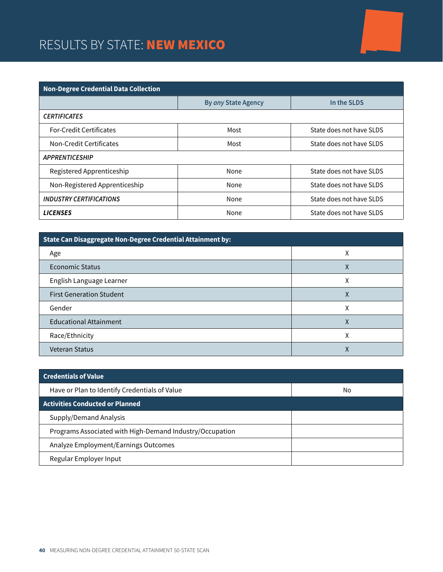# RESULTS BY STATE: NEW MEXICO

| <b>Non-Degree Credential Data Collection</b> |                     |                          |  |
|----------------------------------------------|---------------------|--------------------------|--|
|                                              | By any State Agency | In the SLDS              |  |
| <b>CERTIFICATES</b>                          |                     |                          |  |
| <b>For-Credit Certificates</b>               | Most                | State does not have SLDS |  |
| Non-Credit Certificates                      | Most                | State does not have SLDS |  |
| <b>APPRENTICESHIP</b>                        |                     |                          |  |
| Registered Apprenticeship                    | None                | State does not have SLDS |  |
| Non-Registered Apprenticeship                | None                | State does not have SLDS |  |
| <b>INDUSTRY CERTIFICATIONS</b>               | None                | State does not have SLDS |  |
| <b>LICENSES</b>                              | None                | State does not have SLDS |  |

| State Can Disaggregate Non-Degree Credential Attainment by: |   |  |
|-------------------------------------------------------------|---|--|
| Age                                                         | χ |  |
| Economic Status                                             | v |  |
| English Language Learner                                    | Χ |  |
| <b>First Generation Student</b>                             | ⋏ |  |
| Gender                                                      | χ |  |
| <b>Educational Attainment</b>                               | Χ |  |
| Race/Ethnicity                                              | л |  |
| <b>Veteran Status</b>                                       |   |  |

| <b>Credentials of Value</b>                              |    |
|----------------------------------------------------------|----|
| Have or Plan to Identify Credentials of Value            | No |
| <b>Activities Conducted or Planned</b>                   |    |
| Supply/Demand Analysis                                   |    |
| Programs Associated with High-Demand Industry/Occupation |    |
| Analyze Employment/Earnings Outcomes                     |    |
| Regular Employer Input                                   |    |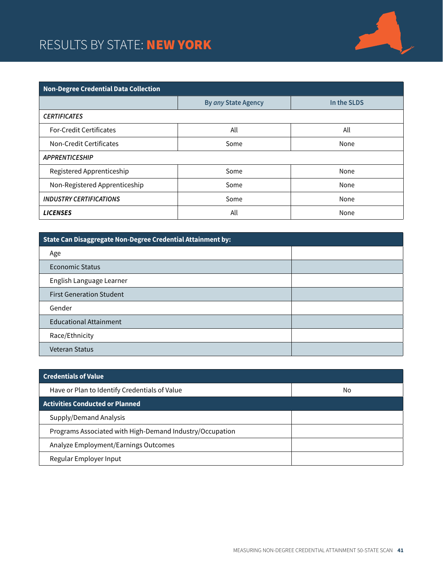## RESULTS BY STATE: NEW YORK



| <b>Non-Degree Credential Data Collection</b> |                     |             |  |
|----------------------------------------------|---------------------|-------------|--|
|                                              | By any State Agency | In the SLDS |  |
| <b>CERTIFICATES</b>                          |                     |             |  |
| <b>For-Credit Certificates</b>               | All                 | All         |  |
| Non-Credit Certificates                      | Some                | None        |  |
| <b>APPRENTICESHIP</b>                        |                     |             |  |
| Registered Apprenticeship                    | Some                | None        |  |
| Non-Registered Apprenticeship                | Some                | None        |  |
| <b>INDUSTRY CERTIFICATIONS</b>               | Some                | None        |  |
| <b>LICENSES</b>                              | All                 | None        |  |

| State Can Disaggregate Non-Degree Credential Attainment by: |  |  |
|-------------------------------------------------------------|--|--|
| Age                                                         |  |  |
| <b>Economic Status</b>                                      |  |  |
| English Language Learner                                    |  |  |
| <b>First Generation Student</b>                             |  |  |
| Gender                                                      |  |  |
| <b>Educational Attainment</b>                               |  |  |
| Race/Ethnicity                                              |  |  |
| <b>Veteran Status</b>                                       |  |  |

| <b>Credentials of Value</b>                              |    |
|----------------------------------------------------------|----|
| Have or Plan to Identify Credentials of Value            | No |
| <b>Activities Conducted or Planned</b>                   |    |
| Supply/Demand Analysis                                   |    |
| Programs Associated with High-Demand Industry/Occupation |    |
| Analyze Employment/Earnings Outcomes                     |    |
| Regular Employer Input                                   |    |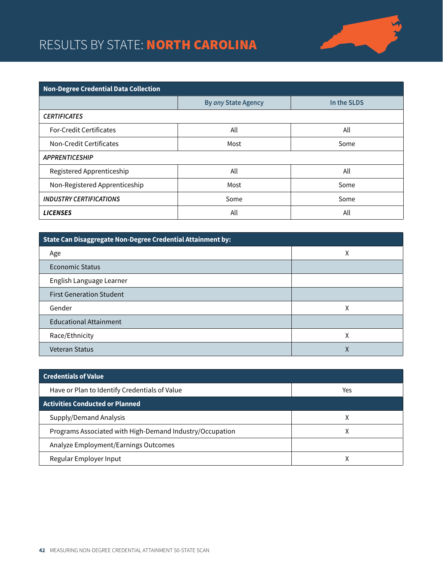# RESULTS BY STATE: NORTH CAROLINA



| <b>Non-Degree Credential Data Collection</b> |                     |             |  |
|----------------------------------------------|---------------------|-------------|--|
|                                              | By any State Agency | In the SLDS |  |
| <b>CERTIFICATES</b>                          |                     |             |  |
| <b>For-Credit Certificates</b>               | All                 | All         |  |
| Non-Credit Certificates                      | Most                | Some        |  |
| <b>APPRENTICESHIP</b>                        |                     |             |  |
| Registered Apprenticeship                    | All                 | All         |  |
| Non-Registered Apprenticeship                | Most                | Some        |  |
| <b>INDUSTRY CERTIFICATIONS</b>               | Some                | Some        |  |
| <b>LICENSES</b>                              | All                 | All         |  |

| State Can Disaggregate Non-Degree Credential Attainment by: |   |  |
|-------------------------------------------------------------|---|--|
| Age                                                         | χ |  |
| <b>Economic Status</b>                                      |   |  |
| English Language Learner                                    |   |  |
| <b>First Generation Student</b>                             |   |  |
| Gender                                                      | χ |  |
| <b>Educational Attainment</b>                               |   |  |
| Race/Ethnicity                                              | Χ |  |
| Veteran Status                                              | ∧ |  |

| <b>Credentials of Value</b>                              |     |
|----------------------------------------------------------|-----|
| Have or Plan to Identify Credentials of Value            | Yes |
| <b>Activities Conducted or Planned</b>                   |     |
| Supply/Demand Analysis                                   |     |
| Programs Associated with High-Demand Industry/Occupation | Χ   |
| Analyze Employment/Earnings Outcomes                     |     |
| Regular Employer Input                                   |     |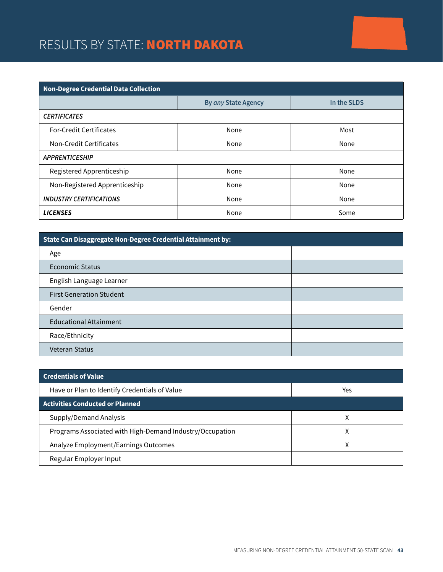# RESULTS BY STATE: NORTH DAKOTA

| <b>Non-Degree Credential Data Collection</b> |                     |             |  |
|----------------------------------------------|---------------------|-------------|--|
|                                              | By any State Agency | In the SLDS |  |
| <b>CERTIFICATES</b>                          |                     |             |  |
| <b>For-Credit Certificates</b>               | None                | Most        |  |
| Non-Credit Certificates                      | None                | None        |  |
| <b>APPRENTICESHIP</b>                        |                     |             |  |
| Registered Apprenticeship                    | None                | None        |  |
| Non-Registered Apprenticeship                | None                | None        |  |
| <b>INDUSTRY CERTIFICATIONS</b>               | None                | None        |  |
| <b>LICENSES</b>                              | None                | Some        |  |

| State Can Disaggregate Non-Degree Credential Attainment by: |  |  |
|-------------------------------------------------------------|--|--|
| Age                                                         |  |  |
| Economic Status                                             |  |  |
| English Language Learner                                    |  |  |
| <b>First Generation Student</b>                             |  |  |
| Gender                                                      |  |  |
| <b>Educational Attainment</b>                               |  |  |
| Race/Ethnicity                                              |  |  |
| <b>Veteran Status</b>                                       |  |  |

| <b>Credentials of Value</b>                              |     |
|----------------------------------------------------------|-----|
| Have or Plan to Identify Credentials of Value            | Yes |
| <b>Activities Conducted or Planned</b>                   |     |
| Supply/Demand Analysis                                   |     |
| Programs Associated with High-Demand Industry/Occupation | v   |
| Analyze Employment/Earnings Outcomes                     | Χ   |
| Regular Employer Input                                   |     |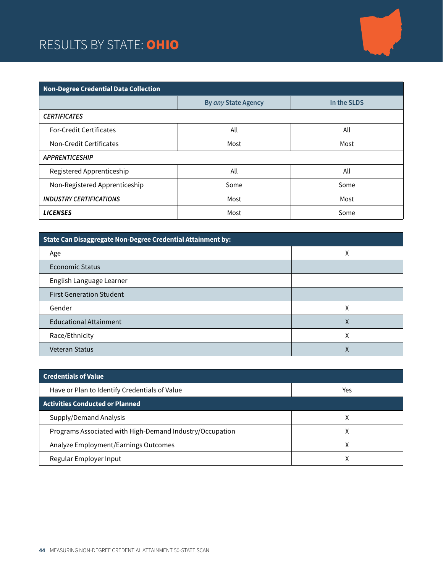## RESULTS BY STATE: OHIO



| Non-Degree Credential Data Collection |                     |             |  |
|---------------------------------------|---------------------|-------------|--|
|                                       | By any State Agency | In the SLDS |  |
| <b>CERTIFICATES</b>                   |                     |             |  |
| <b>For-Credit Certificates</b>        | All                 | All         |  |
| <b>Non-Credit Certificates</b>        | Most                | Most        |  |
| <b>APPRENTICESHIP</b>                 |                     |             |  |
| Registered Apprenticeship             | All                 | All         |  |
| Non-Registered Apprenticeship         | Some                | Some        |  |
| <b>INDUSTRY CERTIFICATIONS</b>        | Most                | Most        |  |
| <b>LICENSES</b>                       | Most                | Some        |  |

| State Can Disaggregate Non-Degree Credential Attainment by: |   |  |
|-------------------------------------------------------------|---|--|
| Age                                                         | χ |  |
| Economic Status                                             |   |  |
| English Language Learner                                    |   |  |
| <b>First Generation Student</b>                             |   |  |
| Gender                                                      | χ |  |
| <b>Educational Attainment</b>                               | χ |  |
| Race/Ethnicity                                              | Χ |  |
| <b>Veteran Status</b>                                       |   |  |

| <b>Credentials of Value</b>                              |     |
|----------------------------------------------------------|-----|
| Have or Plan to Identify Credentials of Value            | Yes |
| <b>Activities Conducted or Planned</b>                   |     |
| Supply/Demand Analysis                                   |     |
| Programs Associated with High-Demand Industry/Occupation |     |
| Analyze Employment/Earnings Outcomes                     |     |
| Regular Employer Input                                   |     |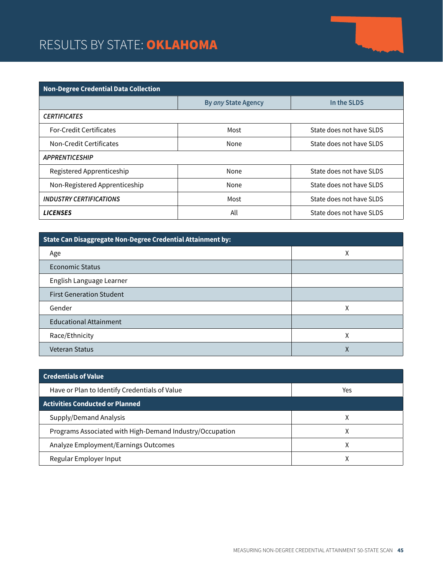# RESULTS BY STATE: OKLAHOMA



| <b>Non-Degree Credential Data Collection</b> |                     |                          |  |
|----------------------------------------------|---------------------|--------------------------|--|
|                                              | By any State Agency | In the SLDS              |  |
| <b>CERTIFICATES</b>                          |                     |                          |  |
| <b>For-Credit Certificates</b>               | Most                | State does not have SLDS |  |
| Non-Credit Certificates                      | None                | State does not have SLDS |  |
| <b>APPRENTICESHIP</b>                        |                     |                          |  |
| Registered Apprenticeship                    | None                | State does not have SLDS |  |
| Non-Registered Apprenticeship                | None                | State does not have SLDS |  |
| <b>INDUSTRY CERTIFICATIONS</b>               | Most                | State does not have SLDS |  |
| <b>LICENSES</b>                              | All                 | State does not have SLDS |  |

| State Can Disaggregate Non-Degree Credential Attainment by: |   |  |
|-------------------------------------------------------------|---|--|
| Age                                                         | χ |  |
| <b>Economic Status</b>                                      |   |  |
| English Language Learner                                    |   |  |
| <b>First Generation Student</b>                             |   |  |
| Gender                                                      | χ |  |
| <b>Educational Attainment</b>                               |   |  |
| Race/Ethnicity                                              | χ |  |
| <b>Veteran Status</b>                                       | Χ |  |

| <b>Credentials of Value</b>                              |     |
|----------------------------------------------------------|-----|
| Have or Plan to Identify Credentials of Value            | Yes |
| <b>Activities Conducted or Planned</b>                   |     |
| Supply/Demand Analysis                                   |     |
| Programs Associated with High-Demand Industry/Occupation | ⋏   |
| Analyze Employment/Earnings Outcomes                     | χ   |
| Regular Employer Input                                   |     |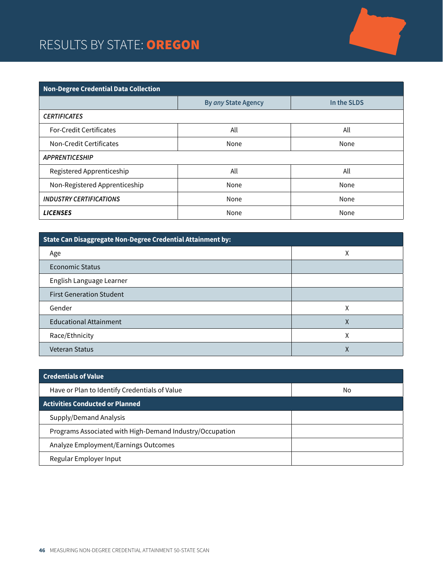#### RESULTS BY STATE: OREGON



| State Can Disaggregate Non-Degree Credential Attainment by: |   |  |
|-------------------------------------------------------------|---|--|
| Age                                                         | χ |  |
| <b>Economic Status</b>                                      |   |  |
| English Language Learner                                    |   |  |
| <b>First Generation Student</b>                             |   |  |
| Gender                                                      | Χ |  |
| <b>Educational Attainment</b>                               | Χ |  |
| Race/Ethnicity                                              | χ |  |
| <b>Veteran Status</b>                                       | Χ |  |

| <b>Credentials of Value</b>                              |    |
|----------------------------------------------------------|----|
| Have or Plan to Identify Credentials of Value            | No |
| <b>Activities Conducted or Planned</b>                   |    |
| Supply/Demand Analysis                                   |    |
| Programs Associated with High-Demand Industry/Occupation |    |
| Analyze Employment/Earnings Outcomes                     |    |
| Regular Employer Input                                   |    |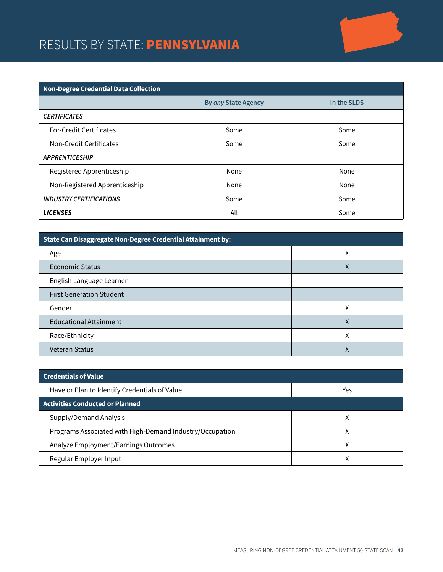### RESULTS BY STATE: PENNSYLVANIA

| Non-Degree Credential Data Collection |                     |             |  |
|---------------------------------------|---------------------|-------------|--|
|                                       | By any State Agency | In the SLDS |  |
| <b>CERTIFICATES</b>                   |                     |             |  |
| <b>For-Credit Certificates</b>        | Some                | Some        |  |
| Non-Credit Certificates               | Some                | Some        |  |
| <b>APPRENTICESHIP</b>                 |                     |             |  |
| Registered Apprenticeship             | None                | None        |  |
| Non-Registered Apprenticeship         | None                | None        |  |
| <b>INDUSTRY CERTIFICATIONS</b>        | Some                | Some        |  |
| <b>LICENSES</b>                       | All                 | Some        |  |

| State Can Disaggregate Non-Degree Credential Attainment by: |   |  |
|-------------------------------------------------------------|---|--|
| Age                                                         | Χ |  |
| <b>Economic Status</b>                                      | Χ |  |
| English Language Learner                                    |   |  |
| <b>First Generation Student</b>                             |   |  |
| Gender                                                      | Χ |  |
| <b>Educational Attainment</b>                               | ∧ |  |
| Race/Ethnicity                                              | χ |  |
| <b>Veteran Status</b>                                       | х |  |

| <b>Credentials of Value</b>                              |     |
|----------------------------------------------------------|-----|
| Have or Plan to Identify Credentials of Value            | Yes |
| <b>Activities Conducted or Planned</b>                   |     |
| Supply/Demand Analysis                                   |     |
| Programs Associated with High-Demand Industry/Occupation | x   |
| Analyze Employment/Earnings Outcomes                     |     |
| Regular Employer Input                                   |     |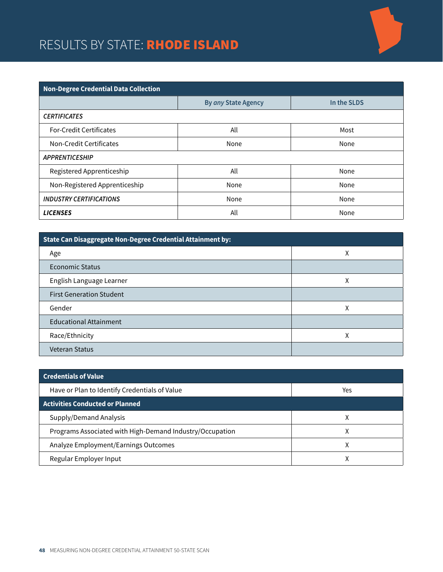# RESULTS BY STATE: RHODE ISLAND

| <b>Non-Degree Credential Data Collection</b> |                     |             |  |
|----------------------------------------------|---------------------|-------------|--|
|                                              | By any State Agency | In the SLDS |  |
| <b>CERTIFICATES</b>                          |                     |             |  |
| <b>For-Credit Certificates</b>               | All                 | Most        |  |
| Non-Credit Certificates                      | None                | None        |  |
| <b>APPRENTICESHIP</b>                        |                     |             |  |
| Registered Apprenticeship                    | All                 | None        |  |
| Non-Registered Apprenticeship                | None                | None        |  |
| <b>INDUSTRY CERTIFICATIONS</b>               | None                | None        |  |
| <b>LICENSES</b>                              | All                 | None        |  |

| State Can Disaggregate Non-Degree Credential Attainment by: |   |  |
|-------------------------------------------------------------|---|--|
| Age                                                         | Χ |  |
| Economic Status                                             |   |  |
| English Language Learner                                    | Χ |  |
| <b>First Generation Student</b>                             |   |  |
| Gender                                                      | χ |  |
| <b>Educational Attainment</b>                               |   |  |
| Race/Ethnicity                                              | Χ |  |
| <b>Veteran Status</b>                                       |   |  |

| <b>Credentials of Value</b>                              |     |
|----------------------------------------------------------|-----|
| Have or Plan to Identify Credentials of Value            | Yes |
| <b>Activities Conducted or Planned</b>                   |     |
| Supply/Demand Analysis                                   |     |
| Programs Associated with High-Demand Industry/Occupation |     |
| Analyze Employment/Earnings Outcomes                     |     |
| Regular Employer Input                                   |     |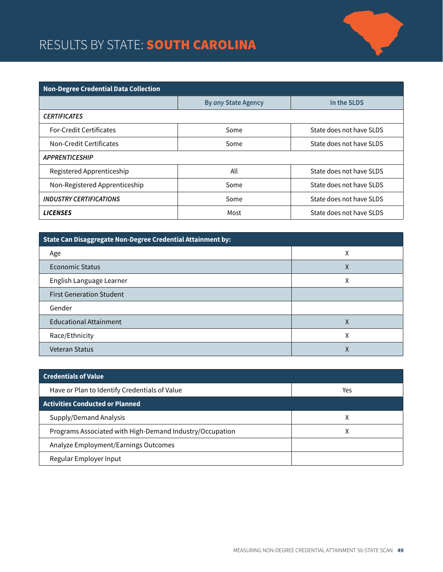# RESULTS BY STATE: **SOUTH CAROLINA**



| <b>Non-Degree Credential Data Collection</b> |                     |                          |  |
|----------------------------------------------|---------------------|--------------------------|--|
|                                              | By any State Agency | In the SLDS              |  |
| <b>CERTIFICATES</b>                          |                     |                          |  |
| <b>For-Credit Certificates</b>               | Some                | State does not have SLDS |  |
| Non-Credit Certificates                      | Some                | State does not have SLDS |  |
| <b>APPRENTICESHIP</b>                        |                     |                          |  |
| Registered Apprenticeship                    | All                 | State does not have SLDS |  |
| Non-Registered Apprenticeship                | Some                | State does not have SLDS |  |
| <b>INDUSTRY CERTIFICATIONS</b>               | Some                | State does not have SLDS |  |
| <b>LICENSES</b>                              | Most                | State does not have SLDS |  |

| State Can Disaggregate Non-Degree Credential Attainment by: |   |  |
|-------------------------------------------------------------|---|--|
| Age                                                         | χ |  |
| Economic Status                                             | Χ |  |
| English Language Learner                                    | Χ |  |
| <b>First Generation Student</b>                             |   |  |
| Gender                                                      |   |  |
| <b>Educational Attainment</b>                               | χ |  |
| Race/Ethnicity                                              | Χ |  |
| <b>Veteran Status</b>                                       | ∧ |  |

| <b>Credentials of Value</b>                              |     |
|----------------------------------------------------------|-----|
| Have or Plan to Identify Credentials of Value            | Yes |
| <b>Activities Conducted or Planned</b>                   |     |
| Supply/Demand Analysis                                   | x   |
| Programs Associated with High-Demand Industry/Occupation | Χ   |
| Analyze Employment/Earnings Outcomes                     |     |
| Regular Employer Input                                   |     |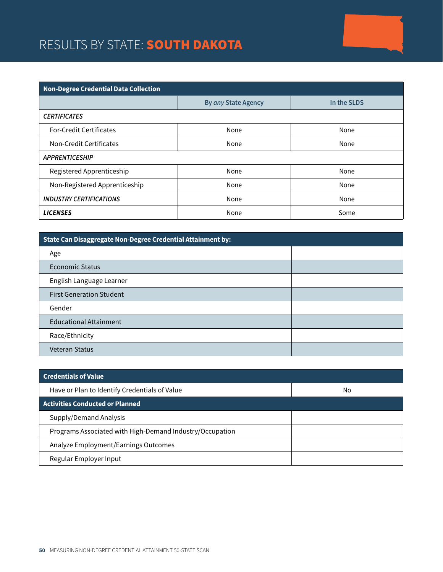# RESULTS BY STATE: **SOUTH DAKOTA**

| <b>Non-Degree Credential Data Collection</b> |                     |             |  |
|----------------------------------------------|---------------------|-------------|--|
|                                              | By any State Agency | In the SLDS |  |
| <b>CERTIFICATES</b>                          |                     |             |  |
| <b>For-Credit Certificates</b>               | None                | None        |  |
| Non-Credit Certificates                      | None                | None        |  |
| <b>APPRENTICESHIP</b>                        |                     |             |  |
| Registered Apprenticeship                    | None                | None        |  |
| Non-Registered Apprenticeship                | None                | None        |  |
| <b>INDUSTRY CERTIFICATIONS</b>               | None                | None        |  |
| <b>LICENSES</b>                              | None                | Some        |  |

| State Can Disaggregate Non-Degree Credential Attainment by: |  |  |
|-------------------------------------------------------------|--|--|
| Age                                                         |  |  |
| Economic Status                                             |  |  |
| English Language Learner                                    |  |  |
| <b>First Generation Student</b>                             |  |  |
| Gender                                                      |  |  |
| <b>Educational Attainment</b>                               |  |  |
| Race/Ethnicity                                              |  |  |
| <b>Veteran Status</b>                                       |  |  |

| <b>Credentials of Value</b>                              |    |
|----------------------------------------------------------|----|
| Have or Plan to Identify Credentials of Value            | No |
| <b>Activities Conducted or Planned</b>                   |    |
| Supply/Demand Analysis                                   |    |
| Programs Associated with High-Demand Industry/Occupation |    |
| Analyze Employment/Earnings Outcomes                     |    |
| Regular Employer Input                                   |    |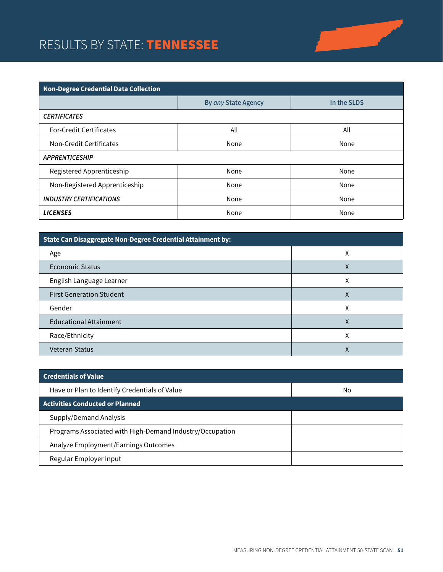# RESULTS BY STATE: TENNESSEE



| <b>Non-Degree Credential Data Collection</b> |                     |             |  |
|----------------------------------------------|---------------------|-------------|--|
|                                              | By any State Agency | In the SLDS |  |
| <b>CERTIFICATES</b>                          |                     |             |  |
| <b>For-Credit Certificates</b>               | All                 | All         |  |
| Non-Credit Certificates                      | None                | None        |  |
| <b>APPRENTICESHIP</b>                        |                     |             |  |
| Registered Apprenticeship                    | None                | None        |  |
| Non-Registered Apprenticeship                | None                | None        |  |
| <b>INDUSTRY CERTIFICATIONS</b>               | None                | None        |  |
| <b>LICENSES</b>                              | None                | None        |  |

| State Can Disaggregate Non-Degree Credential Attainment by: |   |  |
|-------------------------------------------------------------|---|--|
| Age                                                         | χ |  |
| Economic Status                                             | Χ |  |
| English Language Learner                                    | Χ |  |
| <b>First Generation Student</b>                             | Χ |  |
| Gender                                                      | χ |  |
| <b>Educational Attainment</b>                               | Χ |  |
| Race/Ethnicity                                              | л |  |
| <b>Veteran Status</b>                                       | Λ |  |

| <b>Credentials of Value</b>                              |    |
|----------------------------------------------------------|----|
| Have or Plan to Identify Credentials of Value            | No |
| <b>Activities Conducted or Planned</b>                   |    |
| Supply/Demand Analysis                                   |    |
| Programs Associated with High-Demand Industry/Occupation |    |
| Analyze Employment/Earnings Outcomes                     |    |
| Regular Employer Input                                   |    |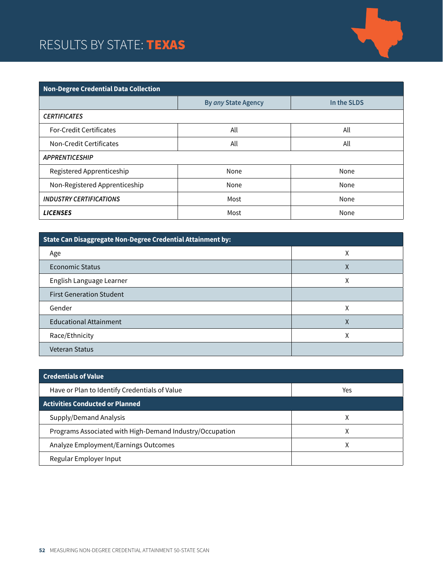## RESULTS BY STATE: TEXAS



| <b>Non-Degree Credential Data Collection</b> |                     |             |
|----------------------------------------------|---------------------|-------------|
|                                              | By any State Agency | In the SLDS |
| <b>CERTIFICATES</b>                          |                     |             |
| <b>For-Credit Certificates</b>               | All                 | All         |
| Non-Credit Certificates                      | All                 | All         |
| <b>APPRENTICESHIP</b>                        |                     |             |
| Registered Apprenticeship                    | None                | None        |
| Non-Registered Apprenticeship                | None                | None        |
| <b>INDUSTRY CERTIFICATIONS</b>               | Most                | None        |
| <b>LICENSES</b>                              | Most                | None        |

| State Can Disaggregate Non-Degree Credential Attainment by: |   |  |
|-------------------------------------------------------------|---|--|
| Age                                                         | χ |  |
| Economic Status                                             | Χ |  |
| English Language Learner                                    | Χ |  |
| <b>First Generation Student</b>                             |   |  |
| Gender                                                      | χ |  |
| <b>Educational Attainment</b>                               | χ |  |
| Race/Ethnicity                                              | Χ |  |
| <b>Veteran Status</b>                                       |   |  |

| <b>Credentials of Value</b>                              |     |
|----------------------------------------------------------|-----|
| Have or Plan to Identify Credentials of Value            | Yes |
| <b>Activities Conducted or Planned</b>                   |     |
| Supply/Demand Analysis                                   | л   |
| Programs Associated with High-Demand Industry/Occupation |     |
| Analyze Employment/Earnings Outcomes                     |     |
| Regular Employer Input                                   |     |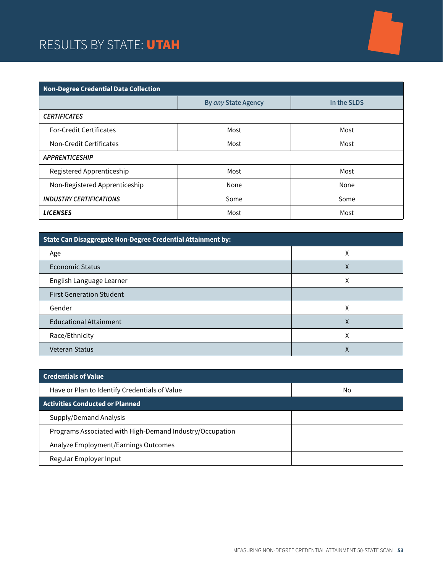## RESULTS BY STATE: UTAH



| <b>Non-Degree Credential Data Collection</b> |                     |             |
|----------------------------------------------|---------------------|-------------|
|                                              | By any State Agency | In the SLDS |
| <b>CERTIFICATES</b>                          |                     |             |
| <b>For-Credit Certificates</b>               | Most                | Most        |
| Non-Credit Certificates                      | Most                | Most        |
| <b>APPRENTICESHIP</b>                        |                     |             |
| Registered Apprenticeship                    | Most                | Most        |
| Non-Registered Apprenticeship                | None                | None        |
| <b>INDUSTRY CERTIFICATIONS</b>               | Some                | Some        |
| <b>LICENSES</b>                              | Most                | Most        |

| State Can Disaggregate Non-Degree Credential Attainment by: |   |  |
|-------------------------------------------------------------|---|--|
| Age                                                         | Χ |  |
| Economic Status                                             | л |  |
| English Language Learner                                    | χ |  |
| <b>First Generation Student</b>                             |   |  |
| Gender                                                      | χ |  |
| <b>Educational Attainment</b>                               | χ |  |
| Race/Ethnicity                                              | Χ |  |
| <b>Veteran Status</b>                                       |   |  |

| <b>Credentials of Value</b>                              |    |
|----------------------------------------------------------|----|
| Have or Plan to Identify Credentials of Value            | No |
| <b>Activities Conducted or Planned</b>                   |    |
| Supply/Demand Analysis                                   |    |
| Programs Associated with High-Demand Industry/Occupation |    |
| Analyze Employment/Earnings Outcomes                     |    |
| Regular Employer Input                                   |    |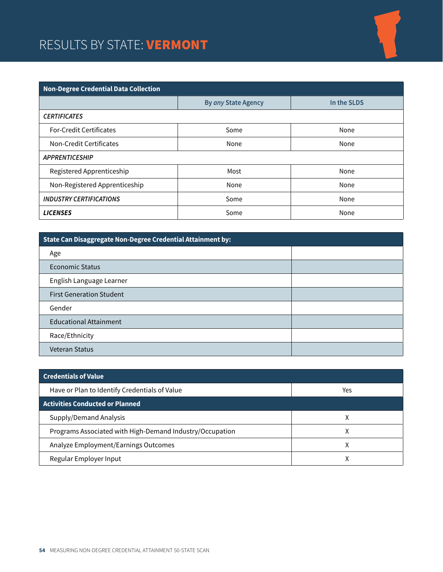#### RESULTS BY STATE: **VERMONT**



| State Can Disaggregate Non-Degree Credential Attainment by: |  |  |
|-------------------------------------------------------------|--|--|
| Age                                                         |  |  |
| <b>Economic Status</b>                                      |  |  |
| English Language Learner                                    |  |  |
| <b>First Generation Student</b>                             |  |  |
| Gender                                                      |  |  |
| <b>Educational Attainment</b>                               |  |  |
| Race/Ethnicity                                              |  |  |
| <b>Veteran Status</b>                                       |  |  |

| <b>Credentials of Value</b>                              |     |
|----------------------------------------------------------|-----|
| Have or Plan to Identify Credentials of Value            | Yes |
| <b>Activities Conducted or Planned</b>                   |     |
| Supply/Demand Analysis                                   |     |
| Programs Associated with High-Demand Industry/Occupation | ⋏   |
| Analyze Employment/Earnings Outcomes                     |     |
| Regular Employer Input                                   |     |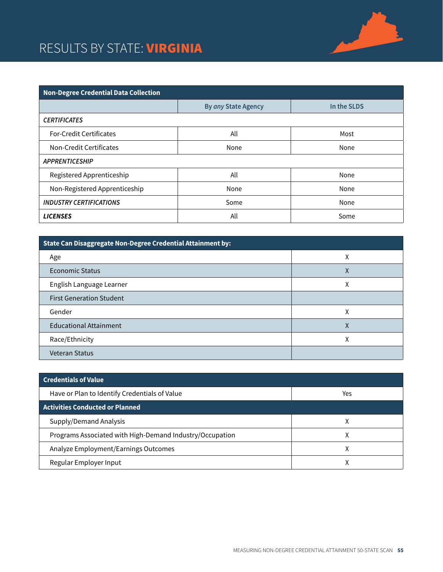#### RESULTS BY STATE: **VIRGINIA**



| State Can Disaggregate Non-Degree Credential Attainment by: |   |  |
|-------------------------------------------------------------|---|--|
| Age                                                         | Χ |  |
| <b>Economic Status</b>                                      | χ |  |
| English Language Learner                                    | χ |  |
| <b>First Generation Student</b>                             |   |  |
| Gender                                                      | χ |  |
| <b>Educational Attainment</b>                               | Χ |  |
| Race/Ethnicity                                              | Χ |  |
| <b>Veteran Status</b>                                       |   |  |

| <b>Credentials of Value</b>                              |     |
|----------------------------------------------------------|-----|
| Have or Plan to Identify Credentials of Value            | Yes |
| <b>Activities Conducted or Planned</b>                   |     |
| Supply/Demand Analysis                                   | ⋏   |
| Programs Associated with High-Demand Industry/Occupation | Χ   |
| Analyze Employment/Earnings Outcomes                     |     |
| Regular Employer Input                                   |     |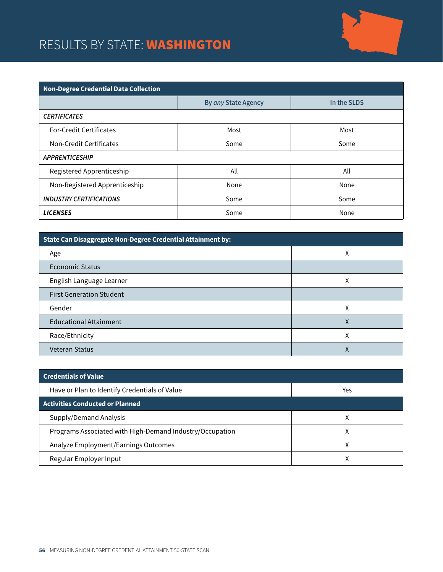## RESULTS BY STATE: **WASHINGTON**



| <b>Non-Degree Credential Data Collection</b> |                     |             |  |
|----------------------------------------------|---------------------|-------------|--|
|                                              | By any State Agency | In the SLDS |  |
| <b>CERTIFICATES</b>                          |                     |             |  |
| <b>For-Credit Certificates</b>               | Most                | Most        |  |
| Non-Credit Certificates                      | Some                | Some        |  |
| <b>APPRENTICESHIP</b>                        |                     |             |  |
| Registered Apprenticeship                    | All                 | All         |  |
| Non-Registered Apprenticeship                | None                | None        |  |
| <b>INDUSTRY CERTIFICATIONS</b>               | Some                | Some        |  |
| <b>LICENSES</b>                              | Some                | None        |  |

| State Can Disaggregate Non-Degree Credential Attainment by: |   |
|-------------------------------------------------------------|---|
| Age                                                         | χ |
| Economic Status                                             |   |
| English Language Learner                                    | Χ |
| <b>First Generation Student</b>                             |   |
| Gender                                                      | χ |
| <b>Educational Attainment</b>                               | χ |
| Race/Ethnicity                                              | Χ |
| <b>Veteran Status</b>                                       | ∧ |

| <b>Credentials of Value</b>                              |     |
|----------------------------------------------------------|-----|
| Have or Plan to Identify Credentials of Value            | Yes |
| <b>Activities Conducted or Planned</b>                   |     |
| Supply/Demand Analysis                                   |     |
| Programs Associated with High-Demand Industry/Occupation | л   |
| Analyze Employment/Earnings Outcomes                     |     |
| Regular Employer Input                                   |     |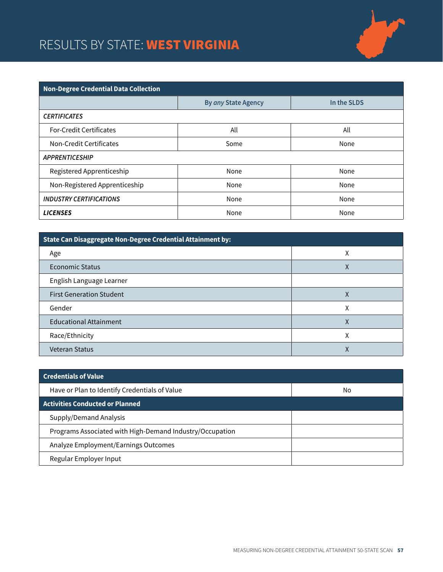# RESULTS BY STATE: WEST VIRGINIA



| <b>Non-Degree Credential Data Collection</b> |                     |             |  |
|----------------------------------------------|---------------------|-------------|--|
|                                              | By any State Agency | In the SLDS |  |
| <b>CERTIFICATES</b>                          |                     |             |  |
| <b>For-Credit Certificates</b>               | All                 | All         |  |
| Non-Credit Certificates                      | Some                | None        |  |
| <b>APPRENTICESHIP</b>                        |                     |             |  |
| Registered Apprenticeship                    | None                | None        |  |
| Non-Registered Apprenticeship                | None                | None        |  |
| <b>INDUSTRY CERTIFICATIONS</b>               | None                | None        |  |
| <b>LICENSES</b>                              | None                | None        |  |

| State Can Disaggregate Non-Degree Credential Attainment by: |   |
|-------------------------------------------------------------|---|
| Age                                                         | χ |
| Economic Status                                             | Χ |
| English Language Learner                                    |   |
| <b>First Generation Student</b>                             | Χ |
| Gender                                                      | χ |
| <b>Educational Attainment</b>                               | χ |
| Race/Ethnicity                                              | χ |
| <b>Veteran Status</b>                                       | Λ |

| <b>Credentials of Value</b>                              |    |
|----------------------------------------------------------|----|
| Have or Plan to Identify Credentials of Value            | No |
| <b>Activities Conducted or Planned</b>                   |    |
| Supply/Demand Analysis                                   |    |
| Programs Associated with High-Demand Industry/Occupation |    |
| Analyze Employment/Earnings Outcomes                     |    |
| Regular Employer Input                                   |    |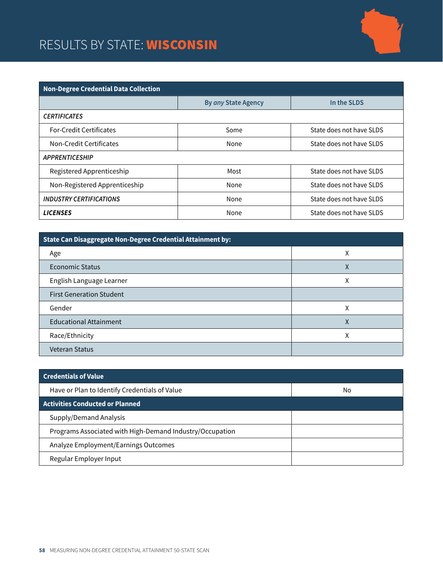## RESULTS BY STATE: **WISCONSIN**



| <b>Non-Degree Credential Data Collection</b> |                     |                          |
|----------------------------------------------|---------------------|--------------------------|
|                                              | By any State Agency | In the SLDS              |
| <b>CERTIFICATES</b>                          |                     |                          |
| <b>For-Credit Certificates</b>               | Some                | State does not have SLDS |
| Non-Credit Certificates                      | None                | State does not have SLDS |
| <b>APPRENTICESHIP</b>                        |                     |                          |
| Registered Apprenticeship                    | Most                | State does not have SLDS |
| Non-Registered Apprenticeship                | None                | State does not have SLDS |
| <b>INDUSTRY CERTIFICATIONS</b>               | None                | State does not have SLDS |
| <b>LICENSES</b>                              | None                | State does not have SLDS |

| State Can Disaggregate Non-Degree Credential Attainment by: |   |
|-------------------------------------------------------------|---|
| Age                                                         | χ |
| Economic Status                                             | Χ |
| English Language Learner                                    | Χ |
| <b>First Generation Student</b>                             |   |
| Gender                                                      | χ |
| <b>Educational Attainment</b>                               | χ |
| Race/Ethnicity                                              | χ |
| <b>Veteran Status</b>                                       |   |

| <b>Credentials of Value</b>                              |    |
|----------------------------------------------------------|----|
| Have or Plan to Identify Credentials of Value            | No |
| <b>Activities Conducted or Planned</b>                   |    |
| Supply/Demand Analysis                                   |    |
| Programs Associated with High-Demand Industry/Occupation |    |
| Analyze Employment/Earnings Outcomes                     |    |
| Regular Employer Input                                   |    |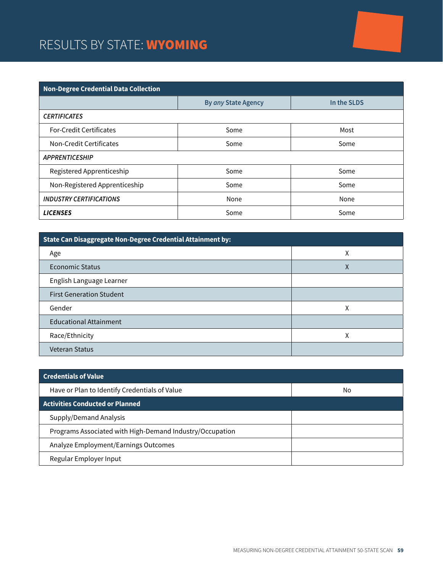### RESULTS BY STATE: WYOMING

| <b>Non-Degree Credential Data Collection</b> |                     |             |  |
|----------------------------------------------|---------------------|-------------|--|
|                                              | By any State Agency | In the SLDS |  |
| <b>CERTIFICATES</b>                          |                     |             |  |
| <b>For-Credit Certificates</b>               | Some                | Most        |  |
| Non-Credit Certificates                      | Some                | Some        |  |
| <b>APPRENTICESHIP</b>                        |                     |             |  |
| Registered Apprenticeship                    | Some                | Some        |  |
| Non-Registered Apprenticeship                | Some                | Some        |  |
| <b>INDUSTRY CERTIFICATIONS</b>               | None                | None        |  |
| <b>LICENSES</b>                              | Some                | Some        |  |

| State Can Disaggregate Non-Degree Credential Attainment by: |   |
|-------------------------------------------------------------|---|
| Age                                                         | χ |
| <b>Economic Status</b>                                      | Χ |
| English Language Learner                                    |   |
| <b>First Generation Student</b>                             |   |
| Gender                                                      | χ |
| <b>Educational Attainment</b>                               |   |
| Race/Ethnicity                                              | χ |
| <b>Veteran Status</b>                                       |   |

| <b>Credentials of Value</b>                              |    |
|----------------------------------------------------------|----|
| Have or Plan to Identify Credentials of Value            | No |
| <b>Activities Conducted or Planned</b>                   |    |
| Supply/Demand Analysis                                   |    |
| Programs Associated with High-Demand Industry/Occupation |    |
| Analyze Employment/Earnings Outcomes                     |    |
| Regular Employer Input                                   |    |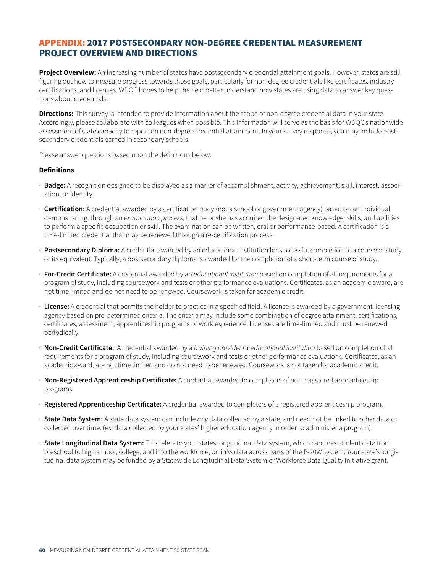#### APPENDIX: 2017 POSTSECONDARY NON-DEGREE CREDENTIAL MEASUREMENT PROJECT OVERVIEW AND DIRECTIONS

**Project Overview:** An increasing number of states have postsecondary credential attainment goals. However, states are still figuring out how to measure progress towards those goals, particularly for non-degree credentials like certificates, industry certifications, and licenses. WDQC hopes to help the field better understand how states are using data to answer key questions about credentials.

**Directions:** This survey is intended to provide information about the scope of non-degree credential data in your state. Accordingly, please collaborate with colleagues when possible. This information will serve as the basis for WDQC's nationwide assessment of state capacity to report on non-degree credential attainment. In your survey response, you may include postsecondary credentials earned in secondary schools.

Please answer questions based upon the definitions below.

#### **Definitions**

- **· Badge:** A recognition designed to be displayed as a marker of accomplishment, activity, achievement, skill, interest, association, or identity.
- **· Certification:** A credential awarded by a certification body (not a school or government agency) based on an individual demonstrating, through an *examination process*, that he or she has acquired the designated knowledge, skills, and abilities to perform a specific occupation or skill. The examination can be written, oral or performance-based. A certification is a time-limited credential that may be renewed through a re-certification process.
- **· Postsecondary Diploma:** A credential awarded by an educational institution for successful completion of a course of study or its equivalent. Typically, a postsecondary diploma is awarded for the completion of a short-term course of study.
- **· For-Credit Certificate:** A credential awarded by an *educational institution* based on completion of all requirements for a program of study, including coursework and tests or other performance evaluations. Certificates, as an academic award, are not time limited and do not need to be renewed. Coursework is taken for academic credit.
- **· License:** A credential that permits the holder to practice in a specified field. A license is awarded by a government licensing agency based on pre-determined criteria. The criteria may include some combination of degree attainment, certifications, certificates, assessment, apprenticeship programs or work experience. Licenses are time-limited and must be renewed periodically.
- **· Non-Credit Certificate:** A credential awarded by a *training provider* or *educational institution* based on completion of all requirements for a program of study, including coursework and tests or other performance evaluations. Certificates, as an academic award, are not time limited and do not need to be renewed. Coursework is not taken for academic credit.
- **· Non-Registered Apprenticeship Certificate:** A credential awarded to completers of non-registered apprenticeship programs.
- **· Registered Apprenticeship Certificate:** A credential awarded to completers of a registered apprenticeship program.
- **· State Data System:** A state data system can include *any* data collected by a state, and need not be linked to other data or collected over time. (ex. data collected by your states' higher education agency in order to administer a program).
- **· State Longitudinal Data System:** This refers to your states longitudinal data system, which captures student data from preschool to high school, college, and into the workforce, or links data across parts of the P-20W system. Your state's longitudinal data system may be funded by a Statewide Longitudinal Data System or Workforce Data Quality Initiative grant.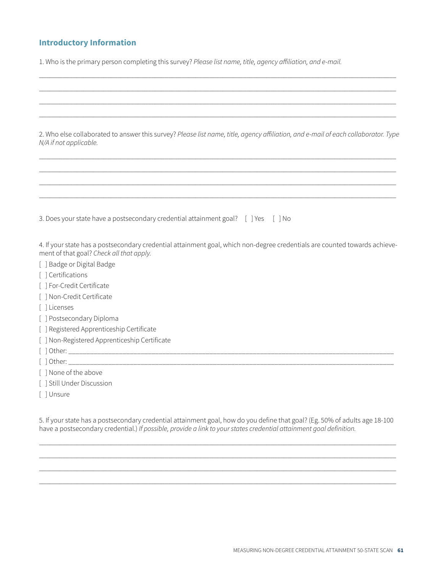#### **Introductory Information**

1. Who is the primary person completing this survey? *Please list name, title, agency affiliation, and e-mail.*

 $\_$  , and the set of the set of the set of the set of the set of the set of the set of the set of the set of the set of the set of the set of the set of the set of the set of the set of the set of the set of the set of th  $\_$  , and the set of the set of the set of the set of the set of the set of the set of the set of the set of the set of the set of the set of the set of the set of the set of the set of the set of the set of the set of th

| 2. Who else collaborated to answer this survey? Please list name, title, agency affiliation, and e-mail of each collaborator. Type<br>N/A if not applicable.           |
|------------------------------------------------------------------------------------------------------------------------------------------------------------------------|
|                                                                                                                                                                        |
| 3. Does your state have a postsecondary credential attainment goal? [ ] Yes [ ] No                                                                                     |
| 4. If your state has a postsecondary credential attainment goal, which non-degree credentials are counted towards achieve-<br>ment of that goal? Check all that apply. |
| [ ] Badge or Digital Badge                                                                                                                                             |
| [ ] Certifications                                                                                                                                                     |
| [ ] For-Credit Certificate                                                                                                                                             |
| [ ] Non-Credit Certificate                                                                                                                                             |
| [ ] Licenses                                                                                                                                                           |
| [ ] Postsecondary Diploma                                                                                                                                              |
| [ ] Registered Apprenticeship Certificate                                                                                                                              |
| [ ] Non-Registered Apprenticeship Certificate                                                                                                                          |
|                                                                                                                                                                        |
|                                                                                                                                                                        |
| [ ] None of the above                                                                                                                                                  |
| [ ] Still Under Discussion                                                                                                                                             |
| [ ] Unsure                                                                                                                                                             |

5. If your state has a postsecondary credential attainment goal, how do you define that goal? (Eg. 50% of adults age 18-100 have a postsecondary credential.) *If possible, provide a link to your states credential attainment goal definition.*

\_\_\_\_\_\_\_\_\_\_\_\_\_\_\_\_\_\_\_\_\_\_\_\_\_\_\_\_\_\_\_\_\_\_\_\_\_\_\_\_\_\_\_\_\_\_\_\_\_\_\_\_\_\_\_\_\_\_\_\_\_\_\_\_\_\_\_\_\_\_\_\_\_\_\_\_\_\_\_\_\_\_\_\_\_\_\_\_\_\_\_\_\_\_\_\_\_\_\_\_\_\_\_\_\_ \_\_\_\_\_\_\_\_\_\_\_\_\_\_\_\_\_\_\_\_\_\_\_\_\_\_\_\_\_\_\_\_\_\_\_\_\_\_\_\_\_\_\_\_\_\_\_\_\_\_\_\_\_\_\_\_\_\_\_\_\_\_\_\_\_\_\_\_\_\_\_\_\_\_\_\_\_\_\_\_\_\_\_\_\_\_\_\_\_\_\_\_\_\_\_\_\_\_\_\_\_\_\_\_\_ \_\_\_\_\_\_\_\_\_\_\_\_\_\_\_\_\_\_\_\_\_\_\_\_\_\_\_\_\_\_\_\_\_\_\_\_\_\_\_\_\_\_\_\_\_\_\_\_\_\_\_\_\_\_\_\_\_\_\_\_\_\_\_\_\_\_\_\_\_\_\_\_\_\_\_\_\_\_\_\_\_\_\_\_\_\_\_\_\_\_\_\_\_\_\_\_\_\_\_\_\_\_\_\_\_ \_\_\_\_\_\_\_\_\_\_\_\_\_\_\_\_\_\_\_\_\_\_\_\_\_\_\_\_\_\_\_\_\_\_\_\_\_\_\_\_\_\_\_\_\_\_\_\_\_\_\_\_\_\_\_\_\_\_\_\_\_\_\_\_\_\_\_\_\_\_\_\_\_\_\_\_\_\_\_\_\_\_\_\_\_\_\_\_\_\_\_\_\_\_\_\_\_\_\_\_\_\_\_\_\_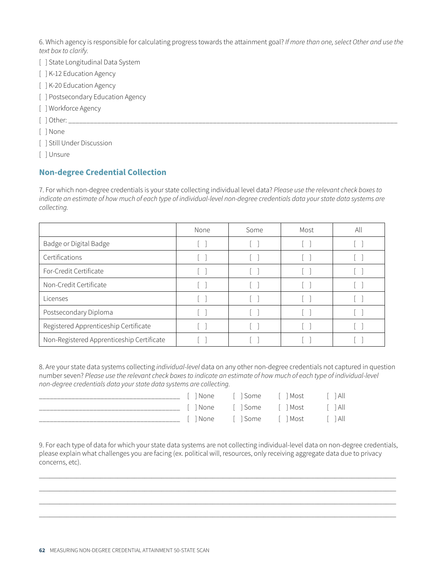6. Which agency is responsible for calculating progress towards the attainment goal? *If more than one, select Other and use the text box to clarify.* 

- [ ] State Longitudinal Data System
- [ ] K-12 Education Agency
- [ ] K-20 Education Agency
- [ ] Postsecondary Education Agency
- [] Workforce Agency

[ ] Other: \_\_\_\_\_\_\_\_\_\_\_\_\_\_\_\_\_\_\_\_\_\_\_\_\_\_\_\_\_\_\_\_\_\_\_\_\_\_\_\_\_\_\_\_\_\_\_\_\_\_\_\_\_\_\_\_\_\_\_\_\_\_\_\_\_\_\_\_\_\_\_\_\_\_\_\_\_\_\_\_\_\_\_\_\_\_\_\_\_\_\_

[ ] None

- [ ] Still Under Discussion
- [ ] Unsure

#### **Non-degree Credential Collection**

7. For which non-degree credentials is your state collecting individual level data? *Please use the relevant check boxes to indicate an estimate of how much of each type of individual-level non-degree credentials data your state data systems are collecting.*

|                                           | None | Some | Most | All |
|-------------------------------------------|------|------|------|-----|
| Badge or Digital Badge                    |      |      |      |     |
| Certifications                            |      |      |      |     |
| For-Credit Certificate                    |      |      |      |     |
| Non-Credit Certificate                    |      |      |      |     |
| Licenses                                  |      |      |      |     |
| Postsecondary Diploma                     |      |      |      |     |
| Registered Apprenticeship Certificate     |      |      |      |     |
| Non-Registered Apprenticeship Certificate |      |      |      |     |

8. Are your state data systems collecting *individual-level* data on any other non-degree credentials not captured in question number seven? *Please use the relevant check boxes to indicate an estimate of how much of each type of individual-level non-degree credentials data your state data systems are collecting.*

|  | [   None       Some       Most         All |  |
|--|--------------------------------------------|--|
|  | <u> Filane Filsome Filmost Filall</u>      |  |
|  | 「 I None   「 I Some   「 I Most    「 I All  |  |

9. For each type of data for which your state data systems are not collecting individual-level data on non-degree credentials, please explain what challenges you are facing (ex. political will, resources, only receiving aggregate data due to privacy concerns, etc).

\_\_\_\_\_\_\_\_\_\_\_\_\_\_\_\_\_\_\_\_\_\_\_\_\_\_\_\_\_\_\_\_\_\_\_\_\_\_\_\_\_\_\_\_\_\_\_\_\_\_\_\_\_\_\_\_\_\_\_\_\_\_\_\_\_\_\_\_\_\_\_\_\_\_\_\_\_\_\_\_\_\_\_\_\_\_\_\_\_\_\_\_\_\_\_\_\_\_\_\_\_\_\_\_\_ \_\_\_\_\_\_\_\_\_\_\_\_\_\_\_\_\_\_\_\_\_\_\_\_\_\_\_\_\_\_\_\_\_\_\_\_\_\_\_\_\_\_\_\_\_\_\_\_\_\_\_\_\_\_\_\_\_\_\_\_\_\_\_\_\_\_\_\_\_\_\_\_\_\_\_\_\_\_\_\_\_\_\_\_\_\_\_\_\_\_\_\_\_\_\_\_\_\_\_\_\_\_\_\_\_ \_\_\_\_\_\_\_\_\_\_\_\_\_\_\_\_\_\_\_\_\_\_\_\_\_\_\_\_\_\_\_\_\_\_\_\_\_\_\_\_\_\_\_\_\_\_\_\_\_\_\_\_\_\_\_\_\_\_\_\_\_\_\_\_\_\_\_\_\_\_\_\_\_\_\_\_\_\_\_\_\_\_\_\_\_\_\_\_\_\_\_\_\_\_\_\_\_\_\_\_\_\_\_\_\_ \_\_\_\_\_\_\_\_\_\_\_\_\_\_\_\_\_\_\_\_\_\_\_\_\_\_\_\_\_\_\_\_\_\_\_\_\_\_\_\_\_\_\_\_\_\_\_\_\_\_\_\_\_\_\_\_\_\_\_\_\_\_\_\_\_\_\_\_\_\_\_\_\_\_\_\_\_\_\_\_\_\_\_\_\_\_\_\_\_\_\_\_\_\_\_\_\_\_\_\_\_\_\_\_\_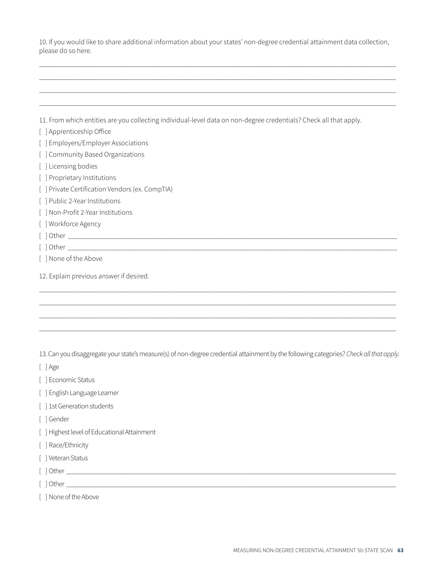10. If you would like to share additional information about your states' non-degree credential attainment data collection, please do so here.

 $\_$  , and the set of the set of the set of the set of the set of the set of the set of the set of the set of the set of the set of the set of the set of the set of the set of the set of the set of the set of the set of th  $\_$  , and the set of the set of the set of the set of the set of the set of the set of the set of the set of the set of the set of the set of the set of the set of the set of the set of the set of the set of the set of th  $\_$  , and the set of the set of the set of the set of the set of the set of the set of the set of the set of the set of the set of the set of the set of the set of the set of the set of the set of the set of the set of th  $\_$  , and the set of the set of the set of the set of the set of the set of the set of the set of the set of the set of the set of the set of the set of the set of the set of the set of the set of the set of the set of th

11. From which entities are you collecting individual-level data on non-degree credentials? Check all that apply.

- [ ] Apprenticeship Office
- [ ] Employers/Employer Associations
- [ ] Community Based Organizations
- [ ] Licensing bodies
- [ ] Proprietary Institutions
- [ ] Private Certification Vendors (ex. CompTIA)
- [ ] Public 2-Year Institutions
- [ ] Non-Profit 2-Year Institutions
- [] Workforce Agency
- [ ] Other \_\_\_\_\_\_\_\_\_\_\_\_\_\_\_\_\_\_\_\_\_\_\_\_\_\_\_\_\_\_\_\_\_\_\_\_\_\_\_\_\_\_\_\_\_\_\_\_\_\_\_\_\_\_\_\_\_\_\_\_\_\_\_\_\_\_\_\_\_\_\_\_\_\_\_\_\_\_\_\_\_\_\_\_\_\_\_\_\_\_\_
- [ ] Other \_\_\_\_\_\_\_\_\_\_\_\_\_\_\_\_\_\_\_\_\_\_\_\_\_\_\_\_\_\_\_\_\_\_\_\_\_\_\_\_\_\_\_\_\_\_\_\_\_\_\_\_\_\_\_\_\_\_\_\_\_\_\_\_\_\_\_\_\_\_\_\_\_\_\_\_\_\_\_\_\_\_\_\_\_\_\_\_\_\_\_
- [ ] None of the Above
- 12. Explain previous answer if desired.

13. Can you disaggregate your state's measure(s) of non-degree credential attainment by the following categories? *Check all that apply.* 

 $\_$  , and the set of the set of the set of the set of the set of the set of the set of the set of the set of the set of the set of the set of the set of the set of the set of the set of the set of the set of the set of th  $\_$  , and the set of the set of the set of the set of the set of the set of the set of the set of the set of the set of the set of the set of the set of the set of the set of the set of the set of the set of the set of th  $\_$  , and the set of the set of the set of the set of the set of the set of the set of the set of the set of the set of the set of the set of the set of the set of the set of the set of the set of the set of the set of th  $\_$  , and the set of the set of the set of the set of the set of the set of the set of the set of the set of the set of the set of the set of the set of the set of the set of the set of the set of the set of the set of th

- [ ] Age
- [ ] Economic Status
- [ ] English Language Learner
- [ ] 1st Generation students
- [ ] Gender
- [ ] Highest level of Educational Attainment
- [ ] Race/Ethnicity
- [ ] Veteran Status
- [ ] Other \_\_\_\_\_\_\_\_\_\_\_\_\_\_\_\_\_\_\_\_\_\_\_\_\_\_\_\_\_\_\_\_\_\_\_\_\_\_\_\_\_\_\_\_\_\_\_\_\_\_\_\_\_\_\_\_\_\_\_\_\_\_\_\_\_\_\_\_\_\_\_\_\_\_\_\_\_\_\_\_\_\_\_\_\_\_\_\_\_\_\_\_\_\_\_\_\_
- [ ] Other \_\_\_\_\_\_\_\_\_\_\_\_\_\_\_\_\_\_\_\_\_\_\_\_\_\_\_\_\_\_\_\_\_\_\_\_\_\_\_\_\_\_\_\_\_\_\_\_\_\_\_\_\_\_\_\_\_\_\_\_\_\_\_\_\_\_\_\_\_\_\_\_\_\_\_\_\_\_\_\_\_\_\_\_\_\_\_\_\_\_\_\_\_\_\_\_\_
- [] None of the Above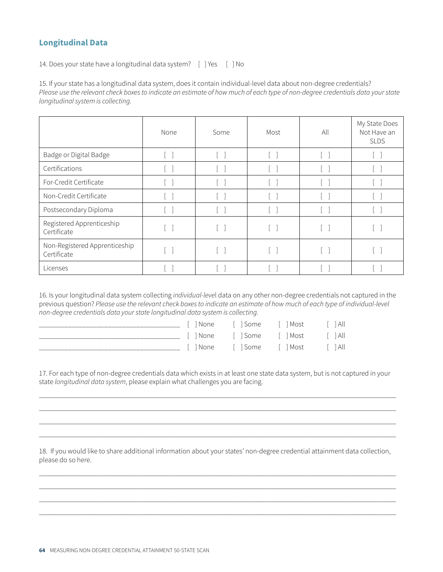#### **Longitudinal Data**

14. Does your state have a longitudinal data system? [ ] Yes [ ] No

15. If your state has a longitudinal data system, does it contain individual-level data about non-degree credentials? *Please use the relevant check boxes to indicate an estimate of how much of each type of non-degree credentials data your state longitudinal system is collecting.*

|                                              | None              | Some   | Most                       | All | My State Does<br>Not Have an<br><b>SLDS</b> |
|----------------------------------------------|-------------------|--------|----------------------------|-----|---------------------------------------------|
| Badge or Digital Badge                       | $\lceil$ $\rceil$ | $\Box$ | $\lceil$ $\rceil$          |     |                                             |
| Certifications                               | <b>Contract</b>   |        | m.                         |     |                                             |
| For-Credit Certificate                       |                   |        | $\mathcal{L}(\mathcal{A})$ |     |                                             |
| Non-Credit Certificate                       |                   |        | $\vert \ \ \vert$          |     |                                             |
| Postsecondary Diploma                        |                   |        | $\vert \ \ \vert$          |     |                                             |
| Registered Apprenticeship<br>Certificate     |                   |        | $\lceil$ $\rceil$          |     |                                             |
| Non-Registered Apprenticeship<br>Certificate |                   |        | $\sim$                     |     |                                             |
| Licenses                                     |                   |        |                            |     |                                             |

16. Is your longitudinal data system collecting *individual-leve*l data on any other non-degree credentials not captured in the previous question? *Please use the relevant check boxes to indicate an estimate of how much of each type of individual-level non-degree credentials data your state longitudinal data system is collecting.*

|  | Il None Il Some Il Most Il All           |  |
|--|------------------------------------------|--|
|  | [INone [ISome [IMost [IAll               |  |
|  | [   None       Some       Most       All |  |

17. For each type of non-degree credentials data which exists in at least one state data system, but is not captured in your state *longitudinal data system*, please explain what challenges you are facing.

 $\_$  , and the set of the set of the set of the set of the set of the set of the set of the set of the set of the set of the set of the set of the set of the set of the set of the set of the set of the set of the set of th  $\_$  , and the set of the set of the set of the set of the set of the set of the set of the set of the set of the set of the set of the set of the set of the set of the set of the set of the set of the set of the set of th  $\_$  , and the set of the set of the set of the set of the set of the set of the set of the set of the set of the set of the set of the set of the set of the set of the set of the set of the set of the set of the set of th  $\_$  , and the set of the set of the set of the set of the set of the set of the set of the set of the set of the set of the set of the set of the set of the set of the set of the set of the set of the set of the set of th

18. If you would like to share additional information about your states' non-degree credential attainment data collection, please do so here.

 $\_$  , and the set of the set of the set of the set of the set of the set of the set of the set of the set of the set of the set of the set of the set of the set of the set of the set of the set of the set of the set of th  $\_$  , and the set of the set of the set of the set of the set of the set of the set of the set of the set of the set of the set of the set of the set of the set of the set of the set of the set of the set of the set of th  $\_$  , and the set of the set of the set of the set of the set of the set of the set of the set of the set of the set of the set of the set of the set of the set of the set of the set of the set of the set of the set of th  $\_$  , and the set of the set of the set of the set of the set of the set of the set of the set of the set of the set of the set of the set of the set of the set of the set of the set of the set of the set of the set of th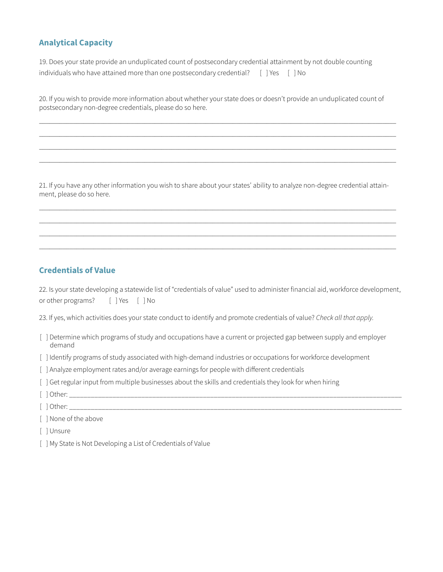#### **Analytical Capacity**

19. Does your state provide an unduplicated count of postsecondary credential attainment by not double counting individuals who have attained more than one postsecondary credential? [ ] Yes [ ] No

20. If you wish to provide more information about whether your state does or doesn't provide an unduplicated count of postsecondary non-degree credentials, please do so here.

 $\_$  , and the set of the set of the set of the set of the set of the set of the set of the set of the set of the set of the set of the set of the set of the set of the set of the set of the set of the set of the set of th  $\_$  , and the set of the set of the set of the set of the set of the set of the set of the set of the set of the set of the set of the set of the set of the set of the set of the set of the set of the set of the set of th  $\_$  , and the set of the set of the set of the set of the set of the set of the set of the set of the set of the set of the set of the set of the set of the set of the set of the set of the set of the set of the set of th  $\_$  , and the set of the set of the set of the set of the set of the set of the set of the set of the set of the set of the set of the set of the set of the set of the set of the set of the set of the set of the set of th

21. If you have any other information you wish to share about your states' ability to analyze non-degree credential attainment, please do so here.

 $\_$  , and the set of the set of the set of the set of the set of the set of the set of the set of the set of the set of the set of the set of the set of the set of the set of the set of the set of the set of the set of th  $\_$  , and the set of the set of the set of the set of the set of the set of the set of the set of the set of the set of the set of the set of the set of the set of the set of the set of the set of the set of the set of th  $\_$  , and the set of the set of the set of the set of the set of the set of the set of the set of the set of the set of the set of the set of the set of the set of the set of the set of the set of the set of the set of th  $\_$  , and the set of the set of the set of the set of the set of the set of the set of the set of the set of the set of the set of the set of the set of the set of the set of the set of the set of the set of the set of th

#### **Credentials of Value**

22. Is your state developing a statewide list of "credentials of value" used to administer financial aid, workforce development, or other programs? [ ] Yes [ ] No

23. If yes, which activities does your state conduct to identify and promote credentials of value? *Check all that apply.* 

- [ ] Determine which programs of study and occupations have a current or projected gap between supply and employer demand
- [ ] Identify programs of study associated with high-demand industries or occupations for workforce development
- [ ] Analyze employment rates and/or average earnings for people with different credentials
- [ ] Get regular input from multiple businesses about the skills and credentials they look for when hiring
- $\lceil$  dther:
- $\lceil$  ] Other:

[ ] None of the above

- [ ] Unsure
- [ ] My State is Not Developing a List of Credentials of Value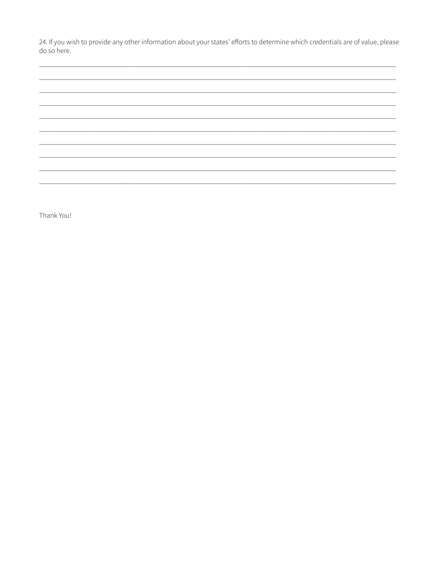24. If you wish to provide any other information about your states' efforts to determine which credentials are of value, please do so here.

Thank You!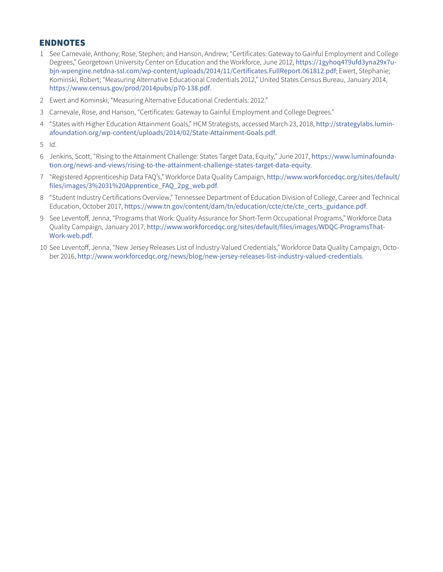#### ENDNOTES

- 1 See Carnevale, Anthony; Rose, Stephen; and Hanson, Andrew; "Certificates: Gateway to Gainful Employment and College Degrees," Georgetown University Center on Education and the Workforce, June 2012, [https://1gyhoq479ufd3yna29x7u](https://1gyhoq479ufd3yna29x7ubjn-wpengine.netdna-ssl.com/wp-content/uploads/2014/11/Certificates.FullReport.061812.pdf)[bjn-wpengine.netdna-ssl.com/wp-content/uploads/2014/11/Certificates.FullReport.061812.pdf](https://1gyhoq479ufd3yna29x7ubjn-wpengine.netdna-ssl.com/wp-content/uploads/2014/11/Certificates.FullReport.061812.pdf); Ewert, Stephanie; Kominski, Robert; "Measuring Alternative Educational Credentials 2012," United States Census Bureau, January 2014, <https://www.census.gov/prod/2014pubs/p70-138.pdf>.
- 2 Ewert and Kominski, "Measuring Alternative Educational Credentials: 2012."
- 3 Carnevale, Rose, and Hanson, "Certificates: Gateway to Gainful Employment and College Degrees."
- 4 "States with Higher Education Attainment Goals," HCM Strategists, accessed March 23, 2018, [http://strategylabs.lumin](http://strategylabs.luminafoundation.org/wp-content/uploads/2014/02/State-Attainment-Goals.pdf)[afoundation.org/wp-content/uploads/2014/02/State-Attainment-Goals.pdf](http://strategylabs.luminafoundation.org/wp-content/uploads/2014/02/State-Attainment-Goals.pdf).
- 5 Id.
- 6 Jenkins, Scott, "Rising to the Attainment Challenge: States Target Data, Equity," June 2017, [https://www.luminafounda](https://www.luminafoundation.org/news-and-views/rising-to-the-attainment-challenge-states-target-data-equity)[tion.org/news-and-views/rising-to-the-attainment-challenge-states-target-data-equity](https://www.luminafoundation.org/news-and-views/rising-to-the-attainment-challenge-states-target-data-equity).
- 7 "Registered Apprenticeship Data FAQ's," Workforce Data Quality Campaign, [http://www.workforcedqc.org/sites/default/](http://www.workforcedqc.org/sites/default/files/images/3%2031%20Apprentice_FAQ_2pg_web.pdf) [files/images/3%2031%20Apprentice\\_FAQ\\_2pg\\_web.pdf](http://www.workforcedqc.org/sites/default/files/images/3%2031%20Apprentice_FAQ_2pg_web.pdf).
- 8 "Student Industry Certifications Overview," Tennessee Department of Education Division of College, Career and Technical Education, October 2017, [https://www.tn.gov/content/dam/tn/education/ccte/cte/cte\\_certs\\_guidance.pdf](https://www.tn.gov/content/dam/tn/education/ccte/cte/cte_certs_guidance.pdf).
- 9 See Leventoff, Jenna, "Programs that Work: Quality Assurance for Short-Term Occupational Programs," Workforce Data Quality Campaign, January 2017, [http://www.workforcedqc.org/sites/default/files/images/WDQC-ProgramsThat-](http://www.workforcedqc.org/sites/default/files/images/WDQC-ProgramsThatWork-web.pdf)[Work-web.pdf](http://www.workforcedqc.org/sites/default/files/images/WDQC-ProgramsThatWork-web.pdf).
- 10 See Leventoff, Jenna, "New Jersey Releases List of Industry-Valued Credentials," Workforce Data Quality Campaign, October 2016, <http://www.workforcedqc.org/news/blog/new-jersey-releases-list-industry-valued-credentials>.